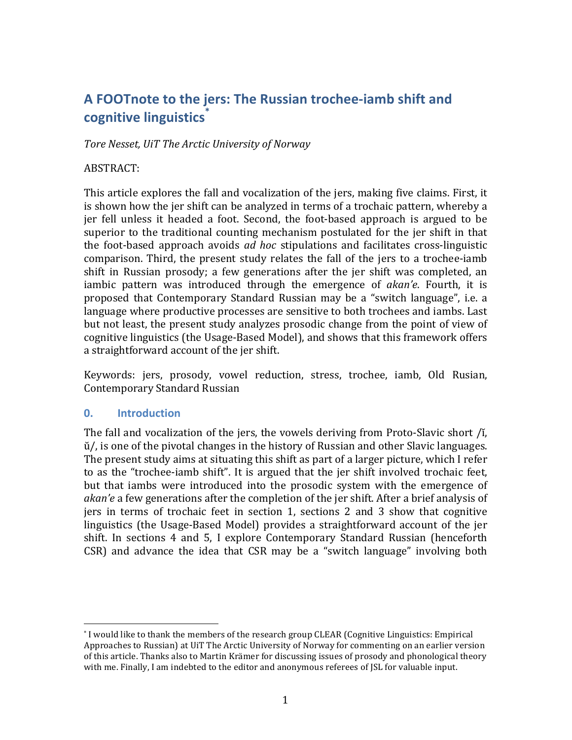# A FOOTnote to the jers: The Russian trochee-iamb shift and **cognitive linguistics\***

*Tore Nesset, UiT The Arctic University of Norway*

### ABSTRACT:

This article explores the fall and vocalization of the jers, making five claims. First, it is shown how the jer shift can be analyzed in terms of a trochaic pattern, whereby a jer fell unless it headed a foot. Second, the foot-based approach is argued to be superior to the traditional counting mechanism postulated for the ier shift in that the foot-based approach avoids *ad hoc* stipulations and facilitates cross-linguistic comparison. Third, the present study relates the fall of the jers to a trochee-iamb shift in Russian prosody; a few generations after the jer shift was completed, an iambic pattern was introduced through the emergence of *akan'e*. Fourth, it is proposed that Contemporary Standard Russian may be a "switch language", i.e. a language where productive processes are sensitive to both trochees and iambs. Last but not least, the present study analyzes prosodic change from the point of view of cognitive linguistics (the Usage-Based Model), and shows that this framework offers a straightforward account of the jer shift.

Keywords: jers, prosody, vowel reduction, stress, trochee, iamb, Old Rusian, Contemporary Standard Russian

## **0. Introduction**

 

The fall and vocalization of the jers, the vowels deriving from Proto-Slavic short  $\Lambda$ ,  $\ddot{u}$ , is one of the pivotal changes in the history of Russian and other Slavic languages. The present study aims at situating this shift as part of a larger picture, which I refer to as the "trochee-iamb shift". It is argued that the jer shift involved trochaic feet, but that iambs were introduced into the prosodic system with the emergence of *akan'e* a few generations after the completion of the jer shift. After a brief analysis of jers in terms of trochaic feet in section 1, sections 2 and 3 show that cognitive linguistics (the Usage-Based Model) provides a straightforward account of the jer shift. In sections 4 and 5, I explore Contemporary Standard Russian (henceforth  $CSR$ ) and advance the idea that  $CSR$  may be a "switch language" involving both

<sup>\*</sup> I would like to thank the members of the research group CLEAR (Cognitive Linguistics: Empirical Approaches to Russian) at UiT The Arctic University of Norway for commenting on an earlier version of this article. Thanks also to Martin Krämer for discussing issues of prosody and phonological theory with me. Finally, I am indebted to the editor and anonymous referees of JSL for valuable input.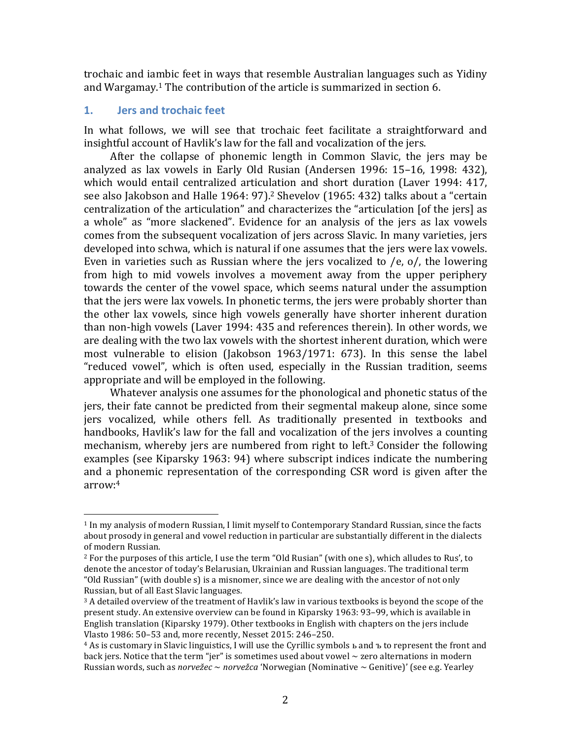trochaic and iambic feet in ways that resemble Australian languages such as Yidiny and Wargamay.<sup>1</sup> The contribution of the article is summarized in section 6.

### **1. Jers and trochaic feet**

 

In what follows, we will see that trochaic feet facilitate a straightforward and insightful account of Havlik's law for the fall and vocalization of the jers.

After the collapse of phonemic length in Common Slavic, the jers may be analyzed as lax vowels in Early Old Rusian (Andersen 1996: 15–16, 1998: 432), which would entail centralized articulation and short duration (Laver 1994: 417, see also Jakobson and Halle 1964: 97).<sup>2</sup> Shevelov (1965: 432) talks about a "certain centralization of the articulation" and characterizes the "articulation [of the jers] as a whole" as "more slackened". Evidence for an analysis of the jers as lax vowels comes from the subsequent vocalization of jers across Slavic. In many varieties, jers developed into schwa, which is natural if one assumes that the jers were lax vowels. Even in varieties such as Russian where the jers vocalized to  $/e$ ,  $o/$ , the lowering from high to mid vowels involves a movement away from the upper periphery towards the center of the vowel space, which seems natural under the assumption that the jers were lax vowels. In phonetic terms, the jers were probably shorter than the other lax yowels, since high yowels generally have shorter inherent duration than non-high vowels (Laver 1994: 435 and references therein). In other words, we are dealing with the two lax vowels with the shortest inherent duration, which were most vulnerable to elision (Jakobson  $1963/1971: 673$ ). In this sense the label "reduced vowel", which is often used, especially in the Russian tradition, seems appropriate and will be employed in the following.

Whatever analysis one assumes for the phonological and phonetic status of the jers, their fate cannot be predicted from their segmental makeup alone, since some jers vocalized, while others fell. As traditionally presented in textbooks and handbooks, Havlik's law for the fall and vocalization of the jers involves a counting mechanism, whereby jers are numbered from right to left.<sup>3</sup> Consider the following examples (see Kiparsky 1963: 94) where subscript indices indicate the numbering and a phonemic representation of the corresponding CSR word is given after the arrow:4

 $1$  In my analysis of modern Russian, I limit myself to Contemporary Standard Russian, since the facts about prosody in general and vowel reduction in particular are substantially different in the dialects of modern Russian.

 $^2$  For the purposes of this article, I use the term "Old Rusian" (with one s), which alludes to Rus', to denote the ancestor of today's Belarusian, Ukrainian and Russian languages. The traditional term "Old Russian" (with double  $s$ ) is a misnomer, since we are dealing with the ancestor of not only Russian, but of all East Slavic languages.

 $3$  A detailed overview of the treatment of Havlik's law in various textbooks is beyond the scope of the present study. An extensive overview can be found in Kiparsky 1963: 93-99, which is available in English translation (Kiparsky 1979). Other textbooks in English with chapters on the jers include Vlasto 1986: 50-53 and, more recently, Nesset 2015: 246-250.

 $4$  As is customary in Slavic linguistics, I will use the Cyrillic symbols  $\mu$  and  $\tau$  to represent the front and back jers. Notice that the term "jer" is sometimes used about vowel  $\sim$  zero alternations in modern Russian words, such as *norvežec* ~ *norvežca* 'Norwegian (Nominative ~ Genitive)' (see e.g. Yearley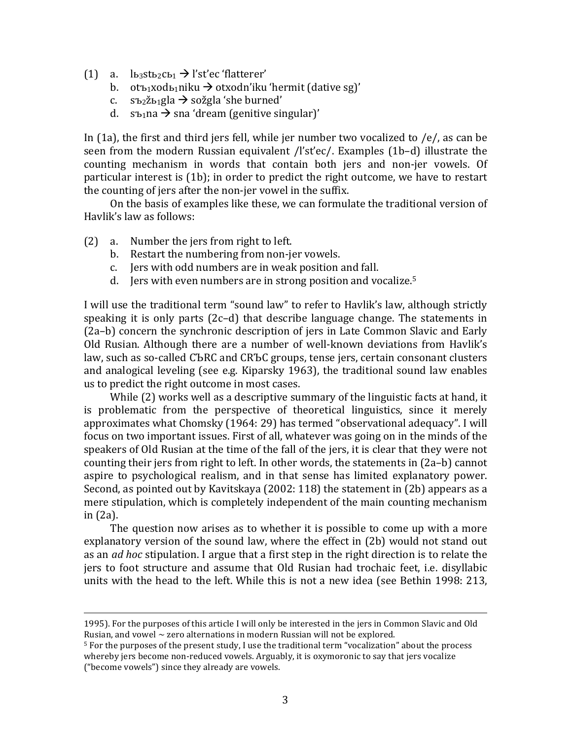- (1) a.  $\ln_3$ st $\ln_2$ c $\ln 2$  d'st'ec 'flatterer'
	- b. otъ1xodь1niku  $\rightarrow$  otxodn'iku 'hermit (dative sg)'
	- c.  $s_{\text{b2}}\ddot{\text{z}}_{\text{b1}}$ gla  $\rightarrow$  sožgla 'she burned'
	- d.  $s_{\text{b1}}$ na  $\rightarrow$  sna 'dream (genitive singular)'

In  $(1a)$ , the first and third jers fell, while jer number two vocalized to /e/, as can be seen from the modern Russian equivalent  $\frac{f}{s't'ec}$ . Examples  $(1b-d)$  illustrate the counting mechanism in words that contain both jers and non-jer vowels. Of particular interest is  $(1b)$ ; in order to predict the right outcome, we have to restart the counting of jers after the non-jer vowel in the suffix.

On the basis of examples like these, we can formulate the traditional version of Havlik's law as follows:

- $(2)$  a. Number the jers from right to left.
	- b. Restart the numbering from non-jer vowels.
	- c. Jers with odd numbers are in weak position and fall.
	- d. Jers with even numbers are in strong position and vocalize.<sup>5</sup>

I will use the traditional term "sound law" to refer to Havlik's law, although strictly speaking it is only parts  $(2c-d)$  that describe language change. The statements in (2a–b) concern the synchronic description of jers in Late Common Slavic and Early Old Rusian. Although there are a number of well-known deviations from Havlik's law, such as so-called CЪRC and CRЪC groups, tense jers, certain consonant clusters and analogical leveling (see e.g. Kiparsky 1963), the traditional sound law enables us to predict the right outcome in most cases.

While  $(2)$  works well as a descriptive summary of the linguistic facts at hand, it is problematic from the perspective of theoretical linguistics, since it merely approximates what Chomsky (1964: 29) has termed "observational adequacy". I will focus on two important issues. First of all, whatever was going on in the minds of the speakers of Old Rusian at the time of the fall of the jers, it is clear that they were not counting their jers from right to left. In other words, the statements in  $(2a-b)$  cannot aspire to psychological realism, and in that sense has limited explanatory power. Second, as pointed out by Kavitskaya  $(2002: 118)$  the statement in  $(2b)$  appears as a mere stipulation, which is completely independent of the main counting mechanism in  $(2a)$ .

The question now arises as to whether it is possible to come up with a more explanatory version of the sound law, where the effect in (2b) would not stand out as an *ad hoc* stipulation. I argue that a first step in the right direction is to relate the jers to foot structure and assume that Old Rusian had trochaic feet, i.e. disyllabic units with the head to the left. While this is not a new idea (see Bethin 1998: 213,

<u> 1989 - Johann Barbert, fransk politik (d. 1989)</u>

<sup>1995).</sup> For the purposes of this article I will only be interested in the jers in Common Slavic and Old Rusian, and vowel  $\sim$  zero alternations in modern Russian will not be explored.

 $5$  For the purposes of the present study, I use the traditional term "vocalization" about the process whereby jers become non-reduced vowels. Arguably, it is oxymoronic to say that jers vocalize ("become vowels") since they already are vowels.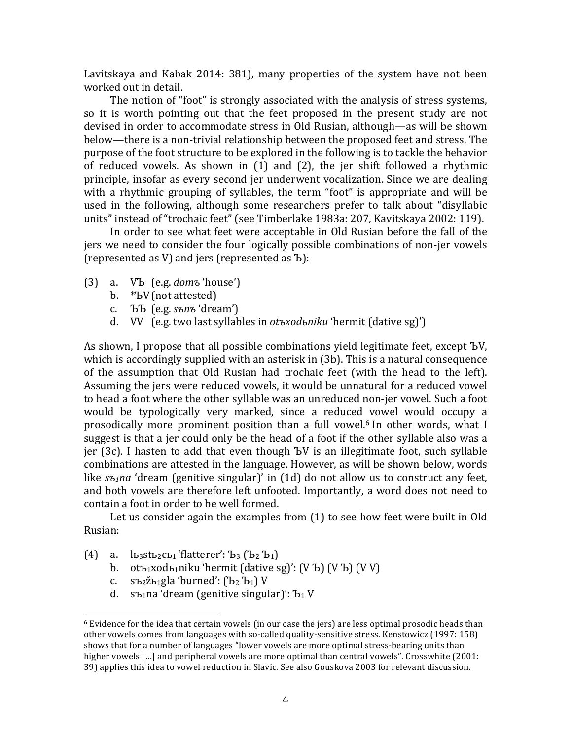Lavitskaya and Kabak  $2014: 381$ ), many properties of the system have not been worked out in detail.

The notion of "foot" is strongly associated with the analysis of stress systems, so it is worth pointing out that the feet proposed in the present study are not devised in order to accommodate stress in Old Rusian, although—as will be shown below—there is a non-trivial relationship between the proposed feet and stress. The purpose of the foot structure to be explored in the following is to tackle the behavior of reduced vowels. As shown in  $(1)$  and  $(2)$ , the jer shift followed a rhythmic principle, insofar as every second jer underwent vocalization. Since we are dealing with a rhythmic grouping of syllables, the term "foot" is appropriate and will be used in the following, although some researchers prefer to talk about "disyllabic units" instead of "trochaic feet" (see Timberlake 1983a: 207, Kavitskaya 2002: 119).

In order to see what feet were acceptable in Old Rusian before the fall of the jers we need to consider the four logically possible combinations of non-jer vowels (represented as V) and jers (represented as  $\mathbf{b}$ ):

- (3) a. VЪ (e.g. *domъ* 'house')
	- b. \*ЪV(not attested)
	- c. ЪЪ (e.g. *sъnъ* 'dream')
	- d. VV (e.g. two last syllables in *otъxodьniku* 'hermit (dative sg)')

As shown, I propose that all possible combinations yield legitimate feet, except ЪV, which is accordingly supplied with an asterisk in  $(3b)$ . This is a natural consequence of the assumption that Old Rusian had trochaic feet (with the head to the left). Assuming the jers were reduced vowels, it would be unnatural for a reduced vowel to head a foot where the other syllable was an unreduced non-jer vowel. Such a foot would be typologically very marked, since a reduced vowel would occupy a prosodically more prominent position than a full vowel.<sup>6</sup> In other words, what I suggest is that a jer could only be the head of a foot if the other syllable also was a jer (3c). I hasten to add that even though  $\overline{b}V$  is an illegitimate foot, such syllable combinations are attested in the language. However, as will be shown below, words like  $s_{\text{t}}$  and 'dream (genitive singular)' in (1d) do not allow us to construct any feet, and both vowels are therefore left unfooted. Importantly, a word does not need to contain a foot in order to be well formed.

Let us consider again the examples from  $(1)$  to see how feet were built in Old Rusian:

(4) a.  $\ln_3$ st $\ln_2$ c $\ln_1$ 'flatterer':  $\ln_3$  ( $\ln_2$   $\ln_1$ )

 

- b. otъ1xodь1niku 'hermit (dative sg)':  $(V \& D)$   $(V \& D)$   $(V \vee V)$
- c.  $s$ ъ2 $\check{z}$ ь1gla 'burned':  $\left(\check{b}_2 \; \check{b}_1\right) V$
- d. sъ1 na 'dream (genitive singular)': Ъ1 V

 $6$  Evidence for the idea that certain vowels (in our case the jers) are less optimal prosodic heads than other vowels comes from languages with so-called quality-sensitive stress. Kenstowicz (1997: 158) shows that for a number of languages "lower vowels are more optimal stress-bearing units than higher vowels  $\left[\ldots\right]$  and peripheral vowels are more optimal than central vowels". Crosswhite (2001: 39) applies this idea to vowel reduction in Slavic. See also Gouskova 2003 for relevant discussion.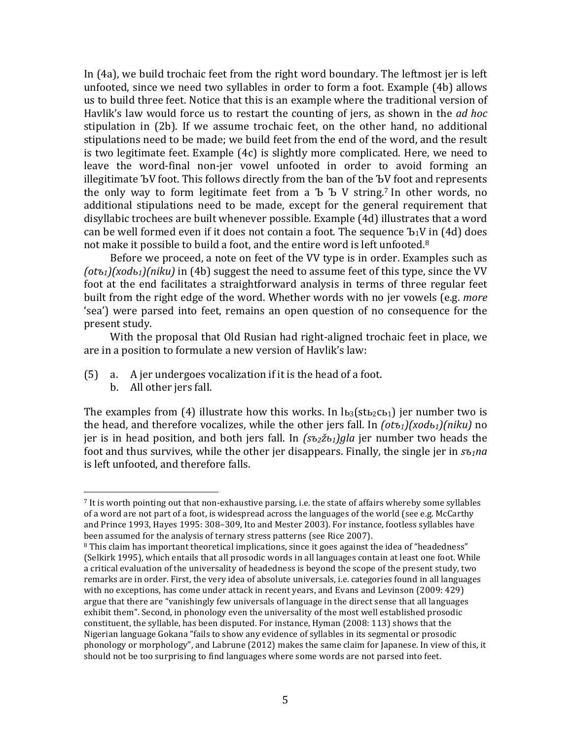In (4a), we build trochaic feet from the right word boundary. The leftmost jer is left unfooted, since we need two syllables in order to form a foot. Example (4b) allows us to build three feet. Notice that this is an example where the traditional version of Havlik's law would force us to restart the counting of jers, as shown in the *ad hoc* stipulation in  $(2b)$ . If we assume trochaic feet, on the other hand, no additional stipulations need to be made; we build feet from the end of the word, and the result is two legitimate feet. Example  $(4c)$  is slightly more complicated. Here, we need to leave the word-final non-jer vowel unfooted in order to avoid forming an illegitimate <sup>Ъ</sup>V foot. This follows directly from the ban of the ЪV foot and represents the only way to form legitimate feet from a  $\bar{b}$   $\bar{b}$  V string.<sup>7</sup> In other words, no additional stipulations need to be made, except for the general requirement that disyllabic trochees are built whenever possible. Example (4d) illustrates that a word can be well formed even if it does not contain a foot. The sequence  $b_1V$  in (4d) does not make it possible to build a foot, and the entire word is left unfooted.<sup>8</sup>

Before we proceed, a note on feet of the VV type is in order. Examples such as  $(ot_{\sigma_1})$ (xod<sub>b1</sub>)(niku) in (4b) suggest the need to assume feet of this type, since the VV foot at the end facilitates a straightforward analysis in terms of three regular feet built from the right edge of the word. Whether words with no jer vowels (e.g. *more*) 'sea') were parsed into feet, remains an open question of no consequence for the present study.

With the proposal that Old Rusian had right-aligned trochaic feet in place, we are in a position to formulate a new version of Havlik's law:

- $(5)$  a. A jer undergoes vocalization if it is the head of a foot.
	- b. All other jers fall.

 

The examples from (4) illustrate how this works. In  $\mathbf{L}_3$ (st<sub>b2</sub>c<sub>b1</sub>) jer number two is the head, and therefore vocalizes, while the other jers fall. In  $(\alpha t_{1})$ (xod<sub>b1</sub>)(niku) no jer is in head position, and both jers fall. In  $(s_2z_0)$ *gla* jer number two heads the foot and thus survives, while the other jer disappears. Finally, the single jer in  $s_{1}$ na is left unfooted, and therefore falls.

 $7$  It is worth pointing out that non-exhaustive parsing, i.e. the state of affairs whereby some syllables of a word are not part of a foot, is widespread across the languages of the world (see e.g. McCarthy and Prince 1993, Hayes 1995: 308-309, Ito and Mester 2003). For instance, footless syllables have been assumed for the analysis of ternary stress patterns (see Rice 2007).

 $8$  This claim has important theoretical implications, since it goes against the idea of "headedness" (Selkirk 1995), which entails that all prosodic words in all languages contain at least one foot. While a critical evaluation of the universality of headedness is beyond the scope of the present study, two remarks are in order. First, the very idea of absolute universals, i.e. categories found in all languages with no exceptions, has come under attack in recent years, and Evans and Levinson (2009: 429) argue that there are "vanishingly few universals of language in the direct sense that all languages exhibit them". Second, in phonology even the universality of the most well established prosodic constituent, the syllable, has been disputed. For instance, Hyman (2008: 113) shows that the Nigerian language Gokana "fails to show any evidence of syllables in its segmental or prosodic phonology or morphology", and Labrune (2012) makes the same claim for Japanese. In view of this, it should not be too surprising to find languages where some words are not parsed into feet.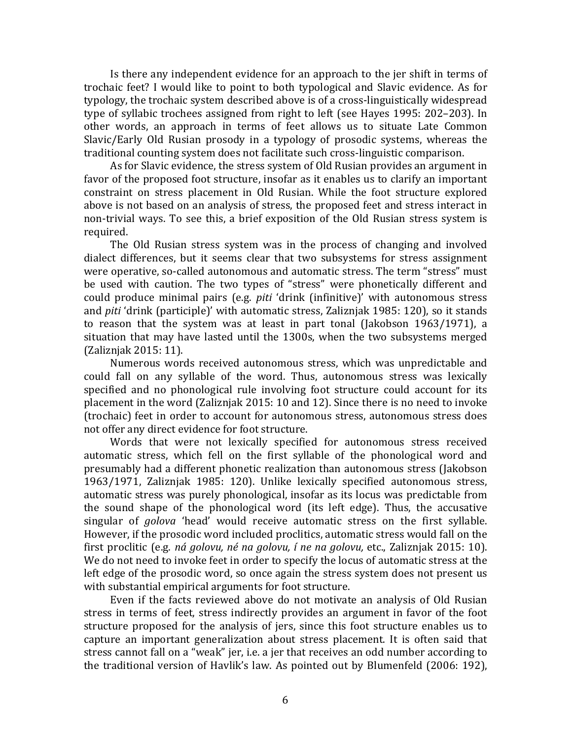Is there any independent evidence for an approach to the jer shift in terms of trochaic feet? I would like to point to both typological and Slavic evidence. As for typology, the trochaic system described above is of a cross-linguistically widespread type of syllabic trochees assigned from right to left (see Hayes 1995: 202–203). In other words, an approach in terms of feet allows us to situate Late Common Slavic/Early Old Rusian prosody in a typology of prosodic systems, whereas the traditional counting system does not facilitate such cross-linguistic comparison.

As for Slavic evidence, the stress system of Old Rusian provides an argument in favor of the proposed foot structure, insofar as it enables us to clarify an important constraint on stress placement in Old Rusian. While the foot structure explored above is not based on an analysis of stress, the proposed feet and stress interact in non-trivial ways. To see this, a brief exposition of the Old Rusian stress system is required.

The Old Rusian stress system was in the process of changing and involved dialect differences, but it seems clear that two subsystems for stress assignment were operative, so-called autonomous and automatic stress. The term "stress" must be used with caution. The two types of "stress" were phonetically different and could produce minimal pairs (e.g. *piti* 'drink (infinitive)' with autonomous stress and *piti* 'drink (participle)' with automatic stress, Zaliznjak 1985: 120), so it stands to reason that the system was at least in part tonal (Jakobson  $1963/1971$ ), a situation that may have lasted until the 1300s, when the two subsystems merged (Zaliznjak 2015: 11). 

Numerous words received autonomous stress, which was unpredictable and could fall on any syllable of the word. Thus, autonomous stress was lexically specified and no phonological rule involving foot structure could account for its placement in the word (Zaliznjak  $2015:10$  and  $12$ ). Since there is no need to invoke (trochaic) feet in order to account for autonomous stress, autonomous stress does not offer any direct evidence for foot structure.

Words that were not lexically specified for autonomous stress received automatic stress, which fell on the first syllable of the phonological word and presumably had a different phonetic realization than autonomous stress (Jakobson 1963/1971, Zaliznjak 1985: 120). Unlike lexically specified autonomous stress, automatic stress was purely phonological, insofar as its locus was predictable from the sound shape of the phonological word (its left edge). Thus, the accusative singular of *golova* 'head' would receive automatic stress on the first syllable. However, if the prosodic word included proclitics, automatic stress would fall on the first proclitic (e.g. *ná golovu, né na golovu, í ne na golovu,* etc., Zaliznjak 2015: 10). We do not need to invoke feet in order to specify the locus of automatic stress at the left edge of the prosodic word, so once again the stress system does not present us with substantial empirical arguments for foot structure.

Even if the facts reviewed above do not motivate an analysis of Old Rusian stress in terms of feet, stress indirectly provides an argument in favor of the foot structure proposed for the analysis of jers, since this foot structure enables us to capture an important generalization about stress placement. It is often said that stress cannot fall on a "weak" jer, i.e. a jer that receives an odd number according to the traditional version of Havlik's law. As pointed out by Blumenfeld (2006: 192),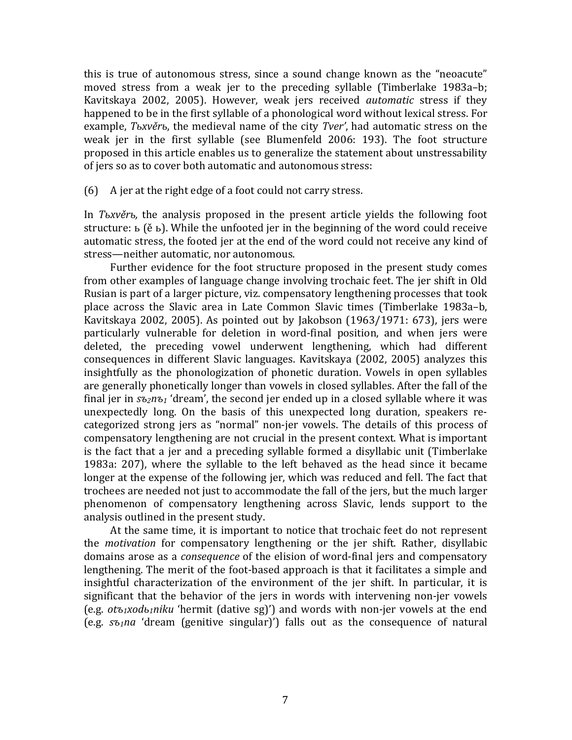this is true of autonomous stress, since a sound change known as the "neoacute" moved stress from a weak jer to the preceding syllable (Timberlake 1983a–b; Kavitskaya 2002, 2005). However, weak jers received *automatic* stress if they happened to be in the first syllable of a phonological word without lexical stress. For example, *Тьхvěrь*, the medieval name of the city *Tver'*, had automatic stress on the weak jer in the first syllable (see Blumenfeld 2006: 193). The foot structure proposed in this article enables us to generalize the statement about unstressability of jers so as to cover both automatic and autonomous stress:

 $(6)$  A jer at the right edge of a foot could not carry stress.

In *T*<sub>b</sub>xve<sup>r</sup>, the analysis proposed in the present article yields the following foot structure:  $\mathbf{b}$  (ẽ  $\mathbf{b}$ ). While the unfooted jer in the beginning of the word could receive automatic stress, the footed jer at the end of the word could not receive any kind of stress—neither automatic, nor autonomous.

Further evidence for the foot structure proposed in the present study comes from other examples of language change involving trochaic feet. The jer shift in Old Rusian is part of a larger picture, viz. compensatory lengthening processes that took place across the Slavic area in Late Common Slavic times (Timberlake 1983a–b, Kavitskaya 2002, 2005). As pointed out by Jakobson  $(1963/1971: 673)$ , jers were particularly vulnerable for deletion in word-final position, and when jers were deleted, the preceding vowel underwent lengthening, which had different consequences in different Slavic languages. Kavitskaya (2002, 2005) analyzes this insightfully as the phonologization of phonetic duration. Vowels in open syllables are generally phonetically longer than vowels in closed syllables. After the fall of the final jer in  $s_{2n\delta_1}$  'dream', the second jer ended up in a closed syllable where it was unexpectedly long. On the basis of this unexpected long duration, speakers recategorized strong jers as "normal" non-jer vowels. The details of this process of compensatory lengthening are not crucial in the present context. What is important is the fact that a jer and a preceding syllable formed a disyllabic unit (Timberlake 1983a: 207), where the syllable to the left behaved as the head since it became longer at the expense of the following jer, which was reduced and fell. The fact that trochees are needed not just to accommodate the fall of the jers, but the much larger phenomenon of compensatory lengthening across Slavic, lends support to the analysis outlined in the present study.

At the same time, it is important to notice that trochaic feet do not represent the *motivation* for compensatory lengthening or the jer shift. Rather, disyllabic domains arose as a *consequence* of the elision of word-final jers and compensatory lengthening. The merit of the foot-based approach is that it facilitates a simple and insightful characterization of the environment of the jer shift. In particular, it is significant that the behavior of the jers in words with intervening non-jer vowels  $(e.g. otz<sub>1</sub>xodz<sub>1</sub>niku'hermit (dative sg)'$  and words with non-jer vowels at the end  $(e.g.  $s_{\overline{b}}$  *s*<sub>0</sub>, *na* 'dream (genitive singular)') falls out as the consequence of natural$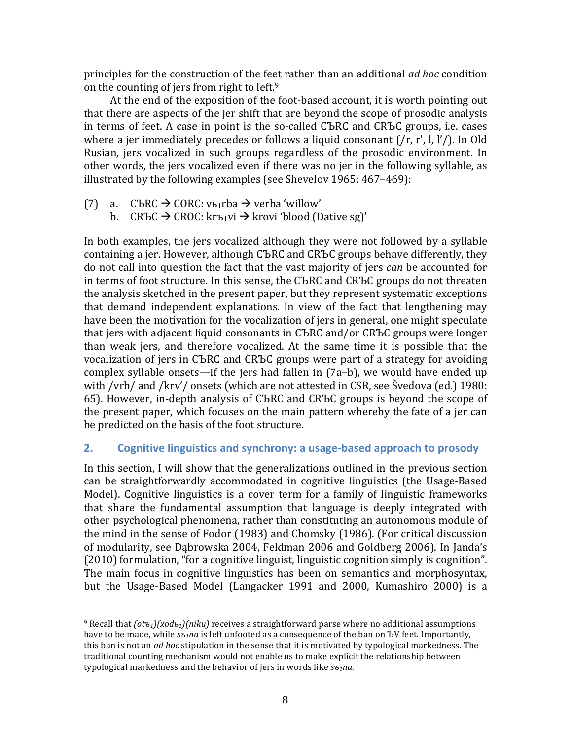principles for the construction of the feet rather than an additional *ad hoc* condition on the counting of jers from right to  $left<sup>9</sup>$ 

At the end of the exposition of the foot-based account, it is worth pointing out that there are aspects of the jer shift that are beyond the scope of prosodic analysis in terms of feet. A case in point is the so-called CЪRC and  $CR$ ЪC groups, i.e. cases where a jer immediately precedes or follows a liquid consonant  $(\frac{r}{r}, r', l, l')$ . In Old Rusian, jers vocalized in such groups regardless of the prosodic environment. In other words, the jers vocalized even if there was no jer in the following syllable, as illustrated by the following examples (see Shevelov 1965:  $467-469$ ):

(7) a. CЪRC  $\rightarrow$  CORC: vь1rba  $\rightarrow$  verba 'willow'

 

b. CRЪC  $\rightarrow$  CROC: krъ1vi  $\rightarrow$  krovi 'blood (Dative sg)'

In both examples, the jers vocalized although they were not followed by a syllable containing a jer. However, although CЪRC and CRЪC groups behave differently, they do not call into question the fact that the vast majority of jers *can* be accounted for in terms of foot structure. In this sense, the CЪRC and CRЪC groups do not threaten the analysis sketched in the present paper, but they represent systematic exceptions that demand independent explanations. In view of the fact that lengthening may have been the motivation for the vocalization of jers in general, one might speculate that jers with adjacent liquid consonants in CЪRC and/or CRЪC groups were longer than weak jers, and therefore vocalized. At the same time it is possible that the vocalization of jers in CЪRC and CRЪC groups were part of a strategy for avoiding complex syllable onsets—if the jers had fallen in  $(7a-b)$ , we would have ended up with /vrb/ and /krv'/ onsets (which are not attested in CSR, see Švedova (ed.)  $1980$ : 65). However, in-depth analysis of CЪRC and CRЪC groups is beyond the scope of the present paper, which focuses on the main pattern whereby the fate of a jer can be predicted on the basis of the foot structure.

## **2. Cognitive linguistics and synchrony:** a usage-based approach to prosody

In this section, I will show that the generalizations outlined in the previous section can be straightforwardly accommodated in cognitive linguistics (the Usage-Based Model). Cognitive linguistics is a cover term for a family of linguistic frameworks that share the fundamental assumption that language is deeply integrated with other psychological phenomena, rather than constituting an autonomous module of the mind in the sense of Fodor (1983) and Chomsky (1986). (For critical discussion of modularity, see Dabrowska 2004, Feldman 2006 and Goldberg 2006). In Janda's (2010) formulation, "for a cognitive linguist, linguistic cognition simply is cognition". The main focus in cognitive linguistics has been on semantics and morphosyntax, but the Usage-Based Model (Langacker 1991 and 2000, Kumashiro 2000) is a

<sup>&</sup>lt;sup>9</sup> Recall that  $(\partial t_1)/(\partial t_1)/(\partial t_2)$  receives a straightforward parse where no additional assumptions have to be made, while  $s_{\tilde{b}}$ *ing* is left unfooted as a consequence of the ban on ЪV feet. Importantly, this ban is not an *ad hoc* stipulation in the sense that it is motivated by typological markedness. The traditional counting mechanism would not enable us to make explicit the relationship between typological markedness and the behavior of jers in words like  $s_{1}$ na.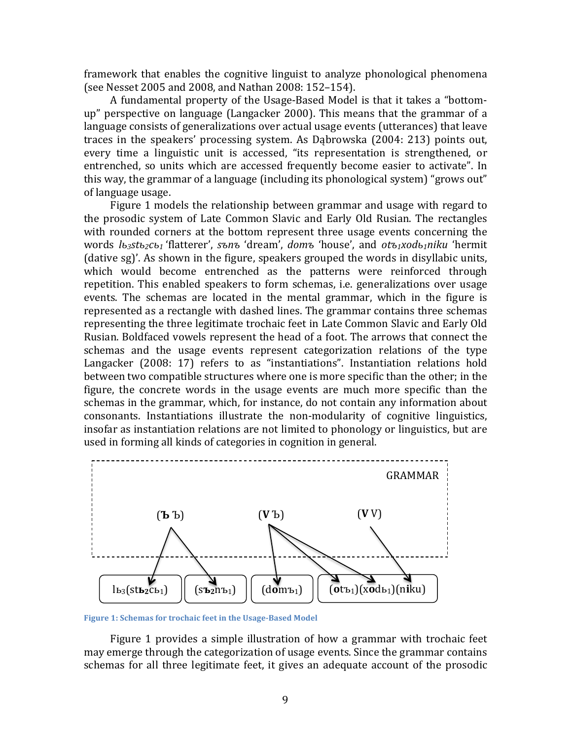framework that enables the cognitive linguist to analyze phonological phenomena (see Nesset 2005 and 2008, and Nathan 2008: 152-154).

A fundamental property of the Usage-Based Model is that it takes a "bottomup" perspective on language (Langacker 2000). This means that the grammar of a language consists of generalizations over actual usage events (utterances) that leave traces in the speakers' processing system. As Dabrowska (2004: 213) points out, every time a linguistic unit is accessed, "its representation is strengthened, or entrenched, so units which are accessed frequently become easier to activate". In this way, the grammar of a language (including its phonological system) "grows out" of language usage.

Figure 1 models the relationship between grammar and usage with regard to the prosodic system of Late Common Slavic and Early Old Rusian. The rectangles with rounded corners at the bottom represent three usage events concerning the words  $l_{b3}$ stь<sub>2</sub>cы<sub>1</sub> 'flatterer', *sъnъ* 'dream', *domъ* 'house', and *otъ1xodы1niku* 'hermit  $\alpha$  (dative sg)'. As shown in the figure, speakers grouped the words in disyllabic units, which would become entrenched as the patterns were reinforced through repetition. This enabled speakers to form schemas, i.e. generalizations over usage events. The schemas are located in the mental grammar, which in the figure is represented as a rectangle with dashed lines. The grammar contains three schemas representing the three legitimate trochaic feet in Late Common Slavic and Early Old Rusian. Boldfaced vowels represent the head of a foot. The arrows that connect the schemas and the usage events represent categorization relations of the type Langacker (2008: 17) refers to as "instantiations". Instantiation relations hold between two compatible structures where one is more specific than the other; in the figure, the concrete words in the usage events are much more specific than the schemas in the grammar, which, for instance, do not contain any information about consonants. Instantiations illustrate the non-modularity of cognitive linguistics, insofar as instantiation relations are not limited to phonology or linguistics, but are used in forming all kinds of categories in cognition in general.



Figure 1: Schemas for trochaic feet in the Usage-Based Model

Figure 1 provides a simple illustration of how a grammar with trochaic feet may emerge through the categorization of usage events. Since the grammar contains schemas for all three legitimate feet, it gives an adequate account of the prosodic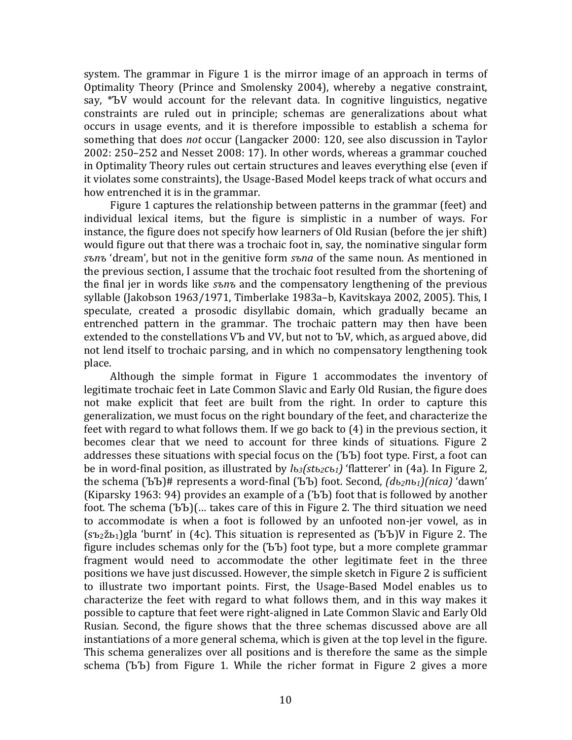system. The grammar in Figure 1 is the mirror image of an approach in terms of Optimality Theory (Prince and Smolensky 2004), whereby a negative constraint, say, \*ЪV would account for the relevant data. In cognitive linguistics, negative constraints are ruled out in principle; schemas are generalizations about what occurs in usage events, and it is therefore impossible to establish a schema for something that does *not* occur (Langacker 2000: 120, see also discussion in Taylor 2002: 250–252 and Nesset 2008: 17). In other words, whereas a grammar couched in Optimality Theory rules out certain structures and leaves everything else (even if it violates some constraints), the Usage-Based Model keeps track of what occurs and how entrenched it is in the grammar.

Figure 1 captures the relationship between patterns in the grammar (feet) and individual lexical items, but the figure is simplistic in a number of ways. For instance, the figure does not specify how learners of Old Rusian (before the jer shift) would figure out that there was a trochaic foot in, say, the nominative singular form *s*brows 'dream', but not in the genitive form *sbna* of the same noun. As mentioned in the previous section, I assume that the trochaic foot resulted from the shortening of the final jer in words like *s*ъnъ and the compensatory lengthening of the previous syllable (Jakobson 1963/1971, Timberlake 1983a-b, Kavitskaya 2002, 2005). This, I speculate, created a prosodic disyllabic domain, which gradually became an entrenched pattern in the grammar. The trochaic pattern may then have been extended to the constellations VЪ and VV, but not to ЪV, which, as argued above, did not lend itself to trochaic parsing, and in which no compensatory lengthening took place.

Although the simple format in Figure 1 accommodates the inventory of legitimate trochaic feet in Late Common Slavic and Early Old Rusian, the figure does not make explicit that feet are built from the right. In order to capture this generalization, we must focus on the right boundary of the feet, and characterize the feet with regard to what follows them. If we go back to  $(4)$  in the previous section, it becomes clear that we need to account for three kinds of situations. Figure 2 addresses these situations with special focus on the (ЪЪ) foot type. First, a foot can be in word-final position, as illustrated by  $l_{b3}(st_{b2}cb_1)$  'flatterer' in (4a). In Figure 2, the schema (ЪЪ)# represents a word-final (ЪЪ) foot. Second,  $(d_{b2}nb_1)/nica$ <sup>'</sup>dawn' (Kiparsky 1963: 94) provides an example of a (ЪЪ) foot that is followed by another foot. The schema (ЪЪ)(... takes care of this in Figure 2. The third situation we need to accommodate is when a foot is followed by an unfooted non-jer vowel, as in  $(s_{\text{b2}}\tilde{z}_{\text{b1}})$ gla 'burnt' in (4c). This situation is represented as (ЪЪ)V in Figure 2. The figure includes schemas only for the  $(BD)$  foot type, but a more complete grammar fragment would need to accommodate the other legitimate feet in the three positions we have just discussed. However, the simple sketch in Figure 2 is sufficient to illustrate two important points. First, the Usage-Based Model enables us to characterize the feet with regard to what follows them, and in this way makes it possible to capture that feet were right-aligned in Late Common Slavic and Early Old Rusian. Second, the figure shows that the three schemas discussed above are all instantiations of a more general schema, which is given at the top level in the figure. This schema generalizes over all positions and is therefore the same as the simple schema (ЪЪ) from Figure 1. While the richer format in Figure 2 gives a more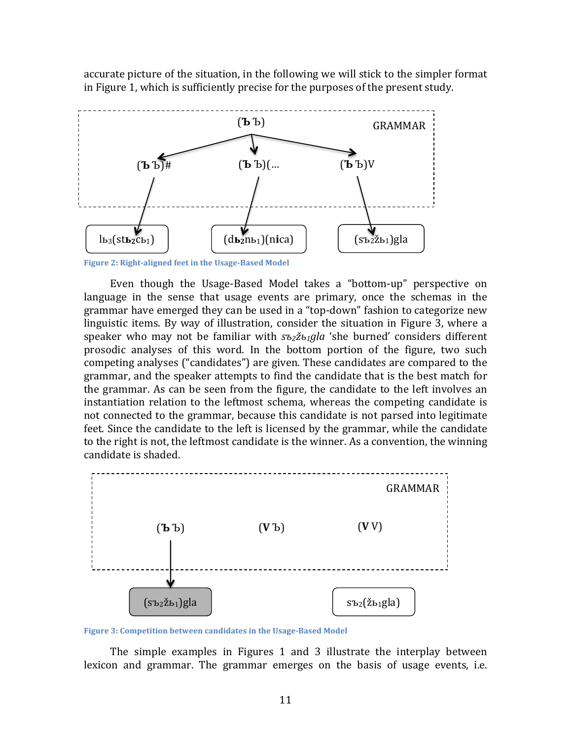accurate picture of the situation, in the following we will stick to the simpler format in Figure 1, which is sufficiently precise for the purposes of the present study.



Figure 2: Right-aligned feet in the Usage-Based Model

Even though the Usage-Based Model takes a "bottom-up" perspective on language in the sense that usage events are primary, once the schemas in the grammar have emerged they can be used in a "top-down" fashion to categorize new linguistic items. By way of illustration, consider the situation in Figure 3, where a speaker who may not be familiar with  $s_2z_1g/a$  'she burned' considers different prosodic analyses of this word. In the bottom portion of the figure, two such competing analyses ("candidates") are given. These candidates are compared to the grammar, and the speaker attempts to find the candidate that is the best match for the grammar. As can be seen from the figure, the candidate to the left involves an instantiation relation to the leftmost schema, whereas the competing candidate is not connected to the grammar, because this candidate is not parsed into legitimate feet. Since the candidate to the left is licensed by the grammar, while the candidate to the right is not, the leftmost candidate is the winner. As a convention, the winning candidate is shaded.



Figure 3: Competition between candidates in the Usage-Based Model

The simple examples in Figures 1 and 3 illustrate the interplay between lexicon and grammar. The grammar emerges on the basis of usage events, *i.e.*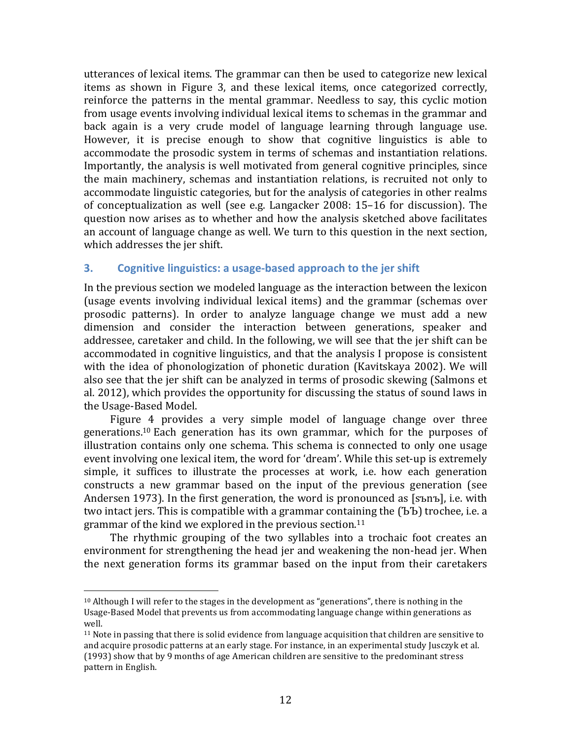utterances of lexical items. The grammar can then be used to categorize new lexical items as shown in Figure 3, and these lexical items, once categorized correctly, reinforce the patterns in the mental grammar. Needless to say, this cyclic motion from usage events involving individual lexical items to schemas in the grammar and back again is a very crude model of language learning through language use. However, it is precise enough to show that cognitive linguistics is able to accommodate the prosodic system in terms of schemas and instantiation relations. Importantly, the analysis is well motivated from general cognitive principles, since the main machinery, schemas and instantiation relations, is recruited not only to accommodate linguistic categories, but for the analysis of categories in other realms of conceptualization as well (see e.g. Langacker  $2008: 15-16$  for discussion). The question now arises as to whether and how the analysis sketched above facilitates an account of language change as well. We turn to this question in the next section, which addresses the jer shift.

### **3. Cognitive linguistics: a usage-based approach to the jer shift**

In the previous section we modeled language as the interaction between the lexicon (usage events involving individual lexical items) and the grammar (schemas over prosodic patterns). In order to analyze language change we must add a new dimension and consider the interaction between generations, speaker and addressee, caretaker and child. In the following, we will see that the jer shift can be accommodated in cognitive linguistics, and that the analysis I propose is consistent with the idea of phonologization of phonetic duration (Kavitskaya 2002). We will also see that the jer shift can be analyzed in terms of prosodic skewing (Salmons et al. 2012), which provides the opportunity for discussing the status of sound laws in the Usage-Based Model.

Figure 4 provides a very simple model of language change over three generations.<sup>10</sup> Each generation has its own grammar, which for the purposes of illustration contains only one schema. This schema is connected to only one usage event involving one lexical item, the word for 'dream'. While this set-up is extremely simple, it suffices to illustrate the processes at work, *i.e.* how each generation constructs a new grammar based on the input of the previous generation (see Andersen 1973). In the first generation, the word is pronounced as  $[sb]$ , i.e. with two intact jers. This is compatible with a grammar containing the  $(55)$  trochee, i.e. a grammar of the kind we explored in the previous section.<sup>11</sup>

The rhythmic grouping of the two syllables into a trochaic foot creates an environment for strengthening the head jer and weakening the non-head jer. When the next generation forms its grammar based on the input from their caretakers

 

 $10$  Although I will refer to the stages in the development as "generations", there is nothing in the Usage-Based Model that prevents us from accommodating language change within generations as well.

 $11$  Note in passing that there is solid evidence from language acquisition that children are sensitive to and acquire prosodic patterns at an early stage. For instance, in an experimental study Jusczyk et al.  $(1993)$  show that by 9 months of age American children are sensitive to the predominant stress pattern in English.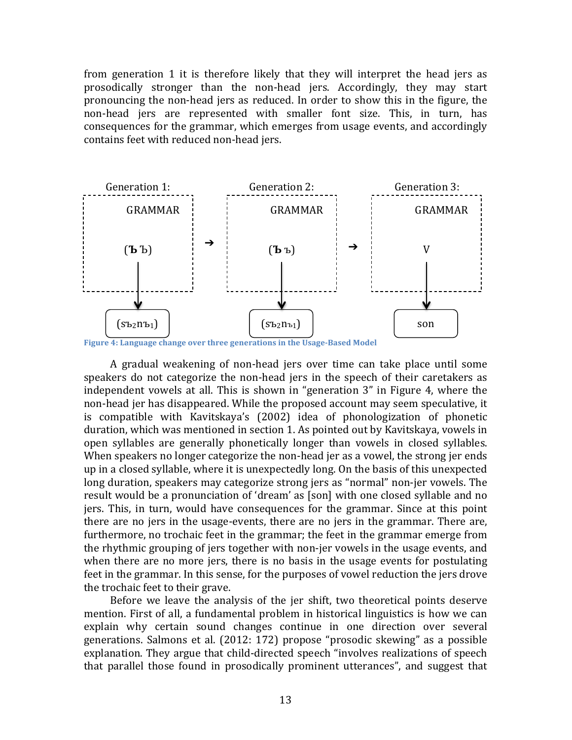from generation 1 it is therefore likely that they will interpret the head jers as prosodically stronger than the non-head jers. Accordingly, they may start pronouncing the non-head jers as reduced. In order to show this in the figure, the non-head iers are represented with smaller font size. This, in turn, has consequences for the grammar, which emerges from usage events, and accordingly contains feet with reduced non-head jers.



**Figure 4: Language change over three generations in the Usage-Based Model** 

A gradual weakening of non-head jers over time can take place until some speakers do not categorize the non-head jers in the speech of their caretakers as independent vowels at all. This is shown in "generation 3" in Figure 4, where the non-head jer has disappeared. While the proposed account may seem speculative, it is compatible with Kavitskaya's (2002) idea of phonologization of phonetic  $duration$ , which was mentioned in section 1. As pointed out by Kavitskaya, vowels in open syllables are generally phonetically longer than vowels in closed syllables. When speakers no longer categorize the non-head jer as a vowel, the strong jer ends up in a closed syllable, where it is unexpectedly long. On the basis of this unexpected long duration, speakers may categorize strong jers as "normal" non-jer vowels. The result would be a pronunciation of 'dream' as [son] with one closed syllable and no jers. This, in turn, would have consequences for the grammar. Since at this point there are no jers in the usage-events, there are no jers in the grammar. There are, furthermore, no trochaic feet in the grammar; the feet in the grammar emerge from the rhythmic grouping of jers together with non-jer vowels in the usage events, and when there are no more jers, there is no basis in the usage events for postulating feet in the grammar. In this sense, for the purposes of vowel reduction the jers drove the trochaic feet to their grave.

Before we leave the analysis of the jer shift, two theoretical points deserve mention. First of all, a fundamental problem in historical linguistics is how we can explain why certain sound changes continue in one direction over several generations. Salmons et al. (2012: 172) propose "prosodic skewing" as a possible explanation. They argue that child-directed speech "involves realizations of speech that parallel those found in prosodically prominent utterances", and suggest that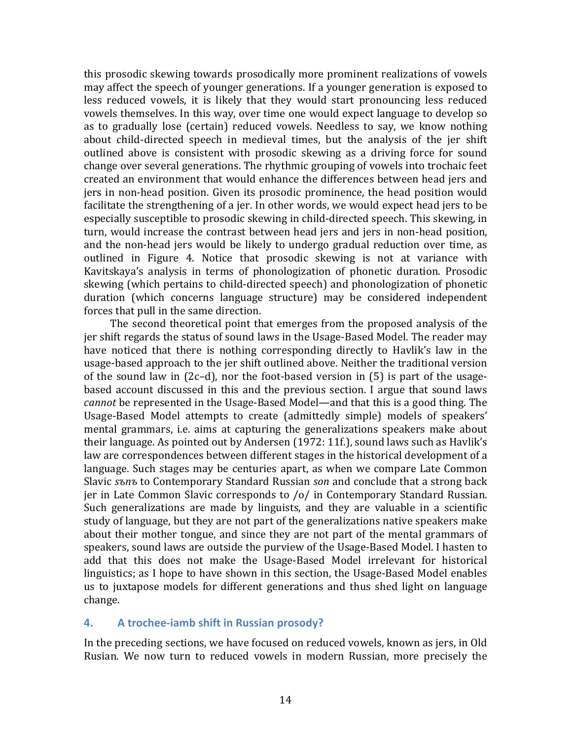this prosodic skewing towards prosodically more prominent realizations of vowels may affect the speech of younger generations. If a younger generation is exposed to less reduced vowels, it is likely that they would start pronouncing less reduced vowels themselves. In this way, over time one would expect language to develop so as to gradually lose (certain) reduced vowels. Needless to say, we know nothing about child-directed speech in medieval times, but the analysis of the jer shift outlined above is consistent with prosodic skewing as a driving force for sound change over several generations. The rhythmic grouping of vowels into trochaic feet created an environment that would enhance the differences between head jers and jers in non-head position. Given its prosodic prominence, the head position would facilitate the strengthening of a jer. In other words, we would expect head jers to be especially susceptible to prosodic skewing in child-directed speech. This skewing, in turn, would increase the contrast between head jers and jers in non-head position, and the non-head jers would be likely to undergo gradual reduction over time, as outlined in Figure 4. Notice that prosodic skewing is not at variance with Kavitskaya's analysis in terms of phonologization of phonetic duration. Prosodic skewing (which pertains to child-directed speech) and phonologization of phonetic duration (which concerns language structure) may be considered independent forces that pull in the same direction.

The second theoretical point that emerges from the proposed analysis of the jer shift regards the status of sound laws in the Usage-Based Model. The reader may have noticed that there is nothing corresponding directly to Havlik's law in the usage-based approach to the jer shift outlined above. Neither the traditional version of the sound law in  $(2c-d)$ , nor the foot-based version in  $(5)$  is part of the usagebased account discussed in this and the previous section. I argue that sound laws *cannot* be represented in the Usage-Based Model—and that this is a good thing. The Usage-Based Model attempts to create (admittedly simple) models of speakers' mental grammars, i.e. aims at capturing the generalizations speakers make about their language. As pointed out by Andersen  $(1972: 11f)$ , sound laws such as Havlik's law are correspondences between different stages in the historical development of a language. Such stages may be centuries apart, as when we compare Late Common Slavic sъnъ to Contemporary Standard Russian *son* and conclude that a strong back jer in Late Common Slavic corresponds to /o/ in Contemporary Standard Russian. Such generalizations are made by linguists, and they are valuable in a scientific study of language, but they are not part of the generalizations native speakers make about their mother tongue, and since they are not part of the mental grammars of speakers, sound laws are outside the purview of the Usage-Based Model. I hasten to add that this does not make the Usage-Based Model irrelevant for historical linguistics; as I hope to have shown in this section, the Usage-Based Model enables us to juxtapose models for different generations and thus shed light on language change.

#### **4.** A trochee-iamb shift in Russian prosody?

In the preceding sections, we have focused on reduced vowels, known as jers, in Old Rusian. We now turn to reduced vowels in modern Russian, more precisely the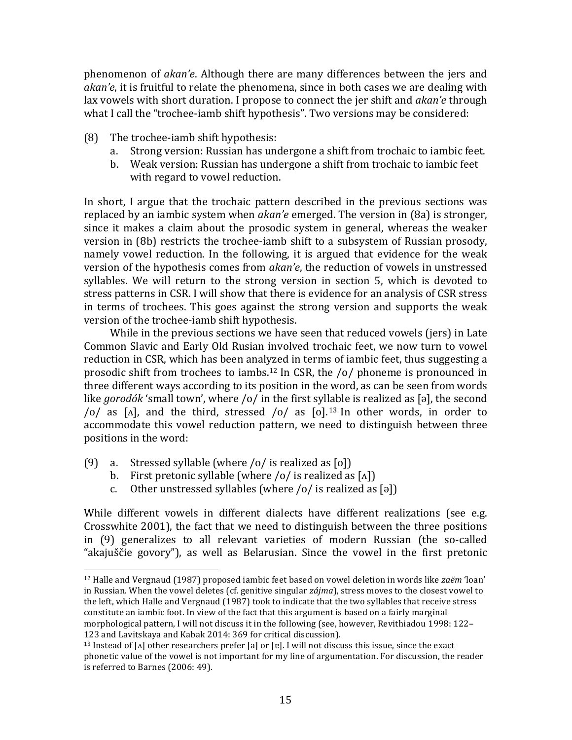phenomenon of *akan'e*. Although there are many differences between the jers and *akan'e*, it is fruitful to relate the phenomena, since in both cases we are dealing with lax vowels with short duration. I propose to connect the jer shift and *akan'e* through what I call the "trochee-iamb shift hypothesis". Two versions may be considered:

- $(8)$  The trochee-iamb shift hypothesis:
	- a. Strong version: Russian has undergone a shift from trochaic to iambic feet.
	- b. Weak version: Russian has undergone a shift from trochaic to iambic feet with regard to vowel reduction.

In short, I argue that the trochaic pattern described in the previous sections was replaced by an iambic system when *akan'e* emerged. The version in (8a) is stronger, since it makes a claim about the prosodic system in general, whereas the weaker version in  $(8b)$  restricts the trochee-iamb shift to a subsystem of Russian prosody, namely vowel reduction. In the following, it is argued that evidence for the weak version of the hypothesis comes from *akan'e*, the reduction of vowels in unstressed syllables. We will return to the strong version in section 5, which is devoted to stress patterns in CSR. I will show that there is evidence for an analysis of CSR stress in terms of trochees. This goes against the strong version and supports the weak version of the trochee-iamb shift hypothesis.

While in the previous sections we have seen that reduced vowels (jers) in Late Common Slavic and Early Old Rusian involved trochaic feet, we now turn to vowel reduction in CSR, which has been analyzed in terms of iambic feet, thus suggesting a prosodic shift from trochees to iambs.<sup>12</sup> In CSR, the /o/ phoneme is pronounced in three different ways according to its position in the word, as can be seen from words like *gorodók* 'small town', where  $\sqrt{\frac{6}{\pi}}$  in the first syllable is realized as [a], the second /o/ as  $\lceil \Lambda \rceil$ , and the third, stressed /o/ as  $\lceil \Omega \rceil$ .<sup>13</sup> In other words, in order to accommodate this vowel reduction pattern, we need to distinguish between three positions in the word:

(9) a. Stressed syllable (where  $\sqrt{o}$  is realized as  $\lceil o \rceil$ )

 

- b. First pretonic syllable (where  $\sqrt{o}$  is realized as  $\lceil \Lambda \rceil$ )
- c. Other unstressed syllables (where  $\sqrt{o}$  is realized as [ə])

While different vowels in different dialects have different realizations (see e.g. Crosswhite  $2001$ ), the fact that we need to distinguish between the three positions in (9) generalizes to all relevant varieties of modern Russian (the so-called "akajuščie govory"), as well as Belarusian. Since the vowel in the first pretonic

<sup>&</sup>lt;sup>12</sup> Halle and Vergnaud (1987) proposed iambic feet based on vowel deletion in words like *zaëm* 'loan' in Russian. When the vowel deletes (cf. genitive singular *zájma*), stress moves to the closest vowel to the left, which Halle and Vergnaud (1987) took to indicate that the two syllables that receive stress constitute an iambic foot. In view of the fact that this argument is based on a fairly marginal morphological pattern, I will not discuss it in the following (see, however, Revithiadou 1998: 122– 123 and Lavitskaya and Kabak 2014: 369 for critical discussion).

<sup>&</sup>lt;sup>13</sup> Instead of  $\lceil \Lambda \rceil$  other researchers prefer  $\lceil a \rceil$  or  $\lceil e \rceil$ . I will not discuss this issue, since the exact phonetic value of the vowel is not important for my line of argumentation. For discussion, the reader is referred to Barnes (2006: 49).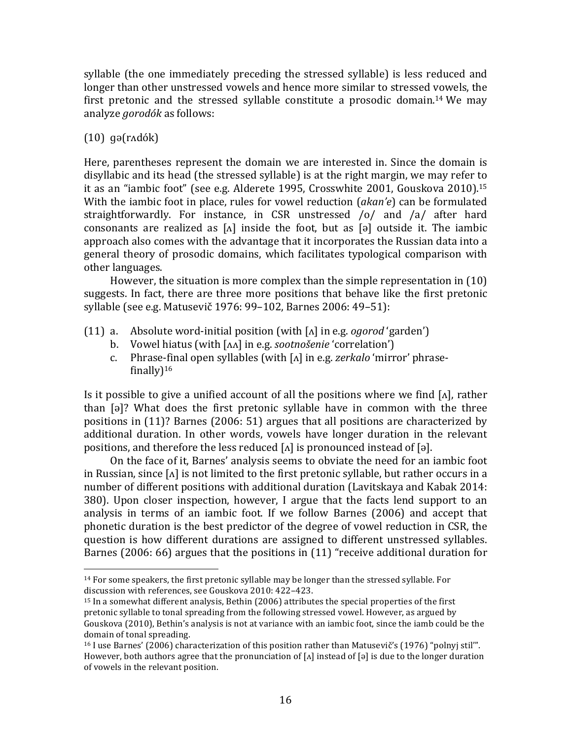syllable (the one immediately preceding the stressed syllable) is less reduced and longer than other unstressed vowels and hence more similar to stressed vowels, the first pretonic and the stressed syllable constitute a prosodic domain.<sup>14</sup> We may analyze *gorodók* as follows:

## (10) ɡə(rʌdók)

 

Here, parentheses represent the domain we are interested in. Since the domain is disyllabic and its head (the stressed syllable) is at the right margin, we may refer to it as an "iambic foot" (see e.g. Alderete 1995, Crosswhite  $2001$ , Gouskova  $2010$ ).<sup>15</sup> With the iambic foot in place, rules for yowel reduction (*akan'e*) can be formulated straightforwardly. For instance, in CSR unstressed  $\frac{1}{0}$  and  $\frac{1}{a}$  after hard consonants are realized as  $\lceil \Delta \rceil$  inside the foot, but as  $\lceil \Theta \rceil$  outside it. The iambic approach also comes with the advantage that it incorporates the Russian data into a general theory of prosodic domains, which facilitates typological comparison with other languages.

However, the situation is more complex than the simple representation in  $(10)$ suggests. In fact, there are three more positions that behave like the first pretonic syllable (see e.g. Matusevič 1976: 99-102, Barnes 2006: 49-51):

- (11) a. Absolute word-initial position (with  $\lceil \Delta \rceil$  in e.g. *ogorod* 'garden')
	- b. Vowel hiatus (with [AA] in e.g. *sootnošenie* 'correlation')
	- c. Phrase-final open syllables (with [A] in e.g. *zerkalo* 'mirror' phrasefinally $]$ <sup>16</sup>

Is it possible to give a unified account of all the positions where we find  $\lceil \Lambda \rceil$ , rather than  $\lceil \varphi \rceil$ ? What does the first pretonic syllable have in common with the three positions in  $(11)$ ? Barnes  $(2006: 51)$  argues that all positions are characterized by additional duration. In other words, vowels have longer duration in the relevant positions, and therefore the less reduced  $\lceil \Lambda \rceil$  is pronounced instead of  $\lceil \vartheta \rceil$ .

On the face of it, Barnes' analysis seems to obviate the need for an iambic foot in Russian, since  $\lceil \Lambda \rceil$  is not limited to the first pretonic syllable, but rather occurs in a number of different positions with additional duration (Lavitskaya and Kabak 2014: 380). Upon closer inspection, however, I argue that the facts lend support to an analysis in terms of an iambic foot. If we follow Barnes (2006) and accept that phonetic duration is the best predictor of the degree of vowel reduction in CSR, the question is how different durations are assigned to different unstressed syllables. Barnes (2006: 66) argues that the positions in (11) "receive additional duration for

<sup>&</sup>lt;sup>14</sup> For some speakers, the first pretonic syllable may be longer than the stressed syllable. For discussion with references, see Gouskova 2010: 422-423.

 $15$  In a somewhat different analysis, Bethin (2006) attributes the special properties of the first pretonic syllable to tonal spreading from the following stressed vowel. However, as argued by Gouskova (2010), Bethin's analysis is not at variance with an iambic foot, since the iamb could be the domain of tonal spreading.

 $16$  I use Barnes' (2006) characterization of this position rather than Matusevic's (1976) "polnyj stil'". However, both authors agree that the pronunciation of  $[\Lambda]$  instead of  $[\circ]$  is due to the longer duration of vowels in the relevant position.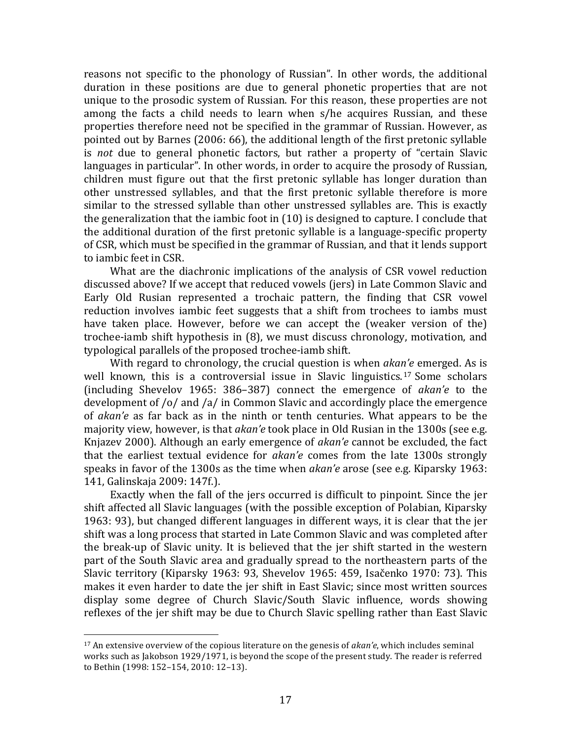reasons not specific to the phonology of Russian". In other words, the additional duration in these positions are due to general phonetic properties that are not unique to the prosodic system of Russian. For this reason, these properties are not among the facts a child needs to learn when s/he acquires Russian, and these properties therefore need not be specified in the grammar of Russian. However, as pointed out by Barnes  $(2006: 66)$ , the additional length of the first pretonic syllable is *not* due to general phonetic factors, but rather a property of "certain Slavic languages in particular". In other words, in order to acquire the prosody of Russian, children must figure out that the first pretonic syllable has longer duration than other unstressed syllables, and that the first pretonic syllable therefore is more similar to the stressed syllable than other unstressed syllables are. This is exactly the generalization that the iambic foot in  $(10)$  is designed to capture. I conclude that the additional duration of the first pretonic syllable is a language-specific property of CSR, which must be specified in the grammar of Russian, and that it lends support to iambic feet in CSR.

What are the diachronic implications of the analysis of CSR vowel reduction discussed above? If we accept that reduced vowels (jers) in Late Common Slavic and Early Old Rusian represented a trochaic pattern, the finding that CSR vowel reduction involves iambic feet suggests that a shift from trochees to iambs must have taken place. However, before we can accept the (weaker version of the) trochee-iamb shift hypothesis in (8), we must discuss chronology, motivation, and typological parallels of the proposed trochee-iamb shift.

With regard to chronology, the crucial question is when *akan'e* emerged. As is well known, this is a controversial issue in Slavic linguistics.<sup>17</sup> Some scholars (including Shevelov 1965: 386–387) connect the emergence of *akan'e* to the development of /o/ and /a/ in Common Slavic and accordingly place the emergence of *akan'e* as far back as in the ninth or tenth centuries. What appears to be the majority view, however, is that *akan'e* took place in Old Rusian in the 1300s (see e.g. Knjazev 2000). Although an early emergence of *akan'e* cannot be excluded, the fact that the earliest textual evidence for *akan'e* comes from the late 1300s strongly speaks in favor of the 1300s as the time when *akan'e* arose (see e.g. Kiparsky 1963: 141, Galinskaja 2009: 147f.).

Exactly when the fall of the jers occurred is difficult to pinpoint. Since the jer shift affected all Slavic languages (with the possible exception of Polabian, Kiparsky 1963: 93), but changed different languages in different ways, it is clear that the jer shift was a long process that started in Late Common Slavic and was completed after the break-up of Slavic unity. It is believed that the jer shift started in the western part of the South Slavic area and gradually spread to the northeastern parts of the Slavic territory (Kiparsky 1963: 93, Shevelov 1965: 459, Isačenko 1970: 73). This makes it even harder to date the jer shift in East Slavic; since most written sources display some degree of Church Slavic/South Slavic influence, words showing reflexes of the jer shift may be due to Church Slavic spelling rather than East Slavic

 

<sup>&</sup>lt;sup>17</sup> An extensive overview of the copious literature on the genesis of *akan'e*, which includes seminal works such as Jakobson 1929/1971, is beyond the scope of the present study. The reader is referred to Bethin (1998: 152-154, 2010: 12-13).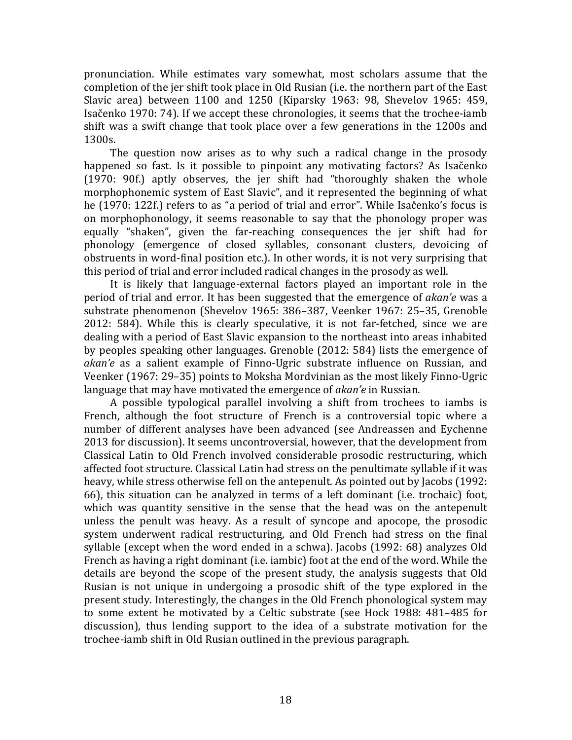pronunciation. While estimates vary somewhat, most scholars assume that the completion of the jer shift took place in Old Rusian (i.e. the northern part of the East Slavic area) between  $1100$  and  $1250$  (Kiparsky 1963: 98, Shevelov 1965: 459, Isačenko 1970: 74). If we accept these chronologies, it seems that the trochee-iamb shift was a swift change that took place over a few generations in the 1200s and 1300s.

The question now arises as to why such a radical change in the prosody happened so fast. Is it possible to pinpoint any motivating factors? As Isačenko  $(1970: 90f)$  aptly observes, the jer shift had "thoroughly shaken the whole morphophonemic system of East Slavic", and it represented the beginning of what he (1970: 122f.) refers to as "a period of trial and error". While Isačenko's focus is on morphophonology, it seems reasonable to say that the phonology proper was equally "shaken", given the far-reaching consequences the jer shift had for phonology (emergence of closed syllables, consonant clusters, devoicing of obstruents in word-final position etc.). In other words, it is not very surprising that this period of trial and error included radical changes in the prosody as well.

It is likely that language-external factors played an important role in the period of trial and error. It has been suggested that the emergence of *akan'e* was a substrate phenomenon (Shevelov 1965: 386-387, Veenker 1967: 25-35, Grenoble 2012: 584). While this is clearly speculative, it is not far-fetched, since we are dealing with a period of East Slavic expansion to the northeast into areas inhabited by peoples speaking other languages. Grenoble (2012: 584) lists the emergence of *akan'e* as a salient example of Finno-Ugric substrate influence on Russian, and Veenker (1967: 29–35) points to Moksha Mordvinian as the most likely Finno-Ugric language that may have motivated the emergence of *akan'e* in Russian.

A possible typological parallel involving a shift from trochees to iambs is French, although the foot structure of French is a controversial topic where a number of different analyses have been advanced (see Andreassen and Eychenne 2013 for discussion). It seems uncontroversial, however, that the development from Classical Latin to Old French involved considerable prosodic restructuring, which affected foot structure. Classical Latin had stress on the penultimate syllable if it was heavy, while stress otherwise fell on the antepenult. As pointed out by Jacobs (1992: 66), this situation can be analyzed in terms of a left dominant (i.e. trochaic) foot, which was quantity sensitive in the sense that the head was on the antepenult unless the penult was heavy. As a result of syncope and apocope, the prosodic system underwent radical restructuring, and Old French had stress on the final syllable (except when the word ended in a schwa). Jacobs  $(1992: 68)$  analyzes Old French as having a right dominant (i.e. iambic) foot at the end of the word. While the details are beyond the scope of the present study, the analysis suggests that Old Rusian is not unique in undergoing a prosodic shift of the type explored in the present study. Interestingly, the changes in the Old French phonological system may to some extent be motivated by a Celtic substrate (see Hock 1988: 481–485 for discussion), thus lending support to the idea of a substrate motivation for the trochee-iamb shift in Old Rusian outlined in the previous paragraph.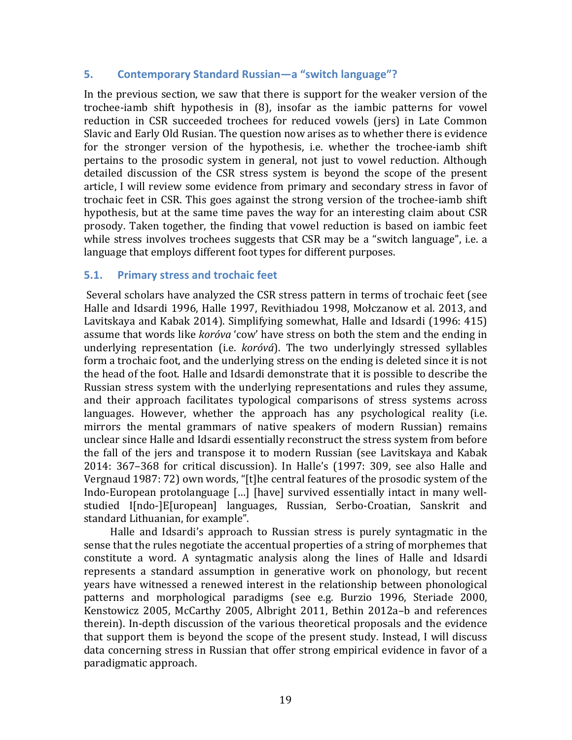#### **5. Contemporary Standard Russian—a** "switch language"?

In the previous section, we saw that there is support for the weaker version of the trochee-iamb shift hypothesis in (8), insofar as the iambic patterns for vowel reduction in CSR succeeded trochees for reduced vowels (jers) in Late Common Slavic and Early Old Rusian. The question now arises as to whether there is evidence for the stronger version of the hypothesis, *i.e.* whether the trochee-iamb shift pertains to the prosodic system in general, not just to vowel reduction. Although detailed discussion of the CSR stress system is beyond the scope of the present article, I will review some evidence from primary and secondary stress in favor of trochaic feet in CSR. This goes against the strong version of the trochee-iamb shift hypothesis, but at the same time paves the way for an interesting claim about CSR prosody. Taken together, the finding that vowel reduction is based on iambic feet while stress involves trochees suggests that CSR may be a "switch language", i.e. a language that employs different foot types for different purposes.

#### **5.1. Primary stress and trochaic feet**

Several scholars have analyzed the CSR stress pattern in terms of trochaic feet (see Halle and Idsardi 1996, Halle 1997, Revithiadou 1998, Mołczanow et al. 2013, and Lavitskaya and Kabak 2014). Simplifying somewhat, Halle and Idsardi (1996: 415) assume that words like *koróva* 'cow' have stress on both the stem and the ending in underlying representation (i.e. *koróvá*). The two underlyingly stressed syllables form a trochaic foot, and the underlying stress on the ending is deleted since it is not the head of the foot. Halle and Idsardi demonstrate that it is possible to describe the Russian stress system with the underlying representations and rules they assume, and their approach facilitates typological comparisons of stress systems across  $l$ anguages. However, whether the approach has any psychological reality (i.e. mirrors the mental grammars of native speakers of modern Russian) remains unclear since Halle and Idsardi essentially reconstruct the stress system from before the fall of the jers and transpose it to modern Russian (see Lavitskaya and Kabak 2014: 367–368 for critical discussion). In Halle's (1997: 309, see also Halle and Vergnaud 1987: 72) own words, "[t]he central features of the prosodic system of the Indo-European protolanguage [...] [have] survived essentially intact in many wellstudied I[ndo-]E[uropean] languages, Russian, Serbo-Croatian, Sanskrit and standard Lithuanian, for example".

Halle and Idsardi's approach to Russian stress is purely syntagmatic in the sense that the rules negotiate the accentual properties of a string of morphemes that constitute a word. A syntagmatic analysis along the lines of Halle and Idsardi represents a standard assumption in generative work on phonology, but recent years have witnessed a renewed interest in the relationship between phonological patterns and morphological paradigms (see e.g. Burzio 1996, Steriade 2000, Kenstowicz 2005, McCarthy 2005, Albright 2011, Bethin 2012a-b and references therein). In-depth discussion of the various theoretical proposals and the evidence that support them is beyond the scope of the present study. Instead, I will discuss data concerning stress in Russian that offer strong empirical evidence in favor of a paradigmatic approach.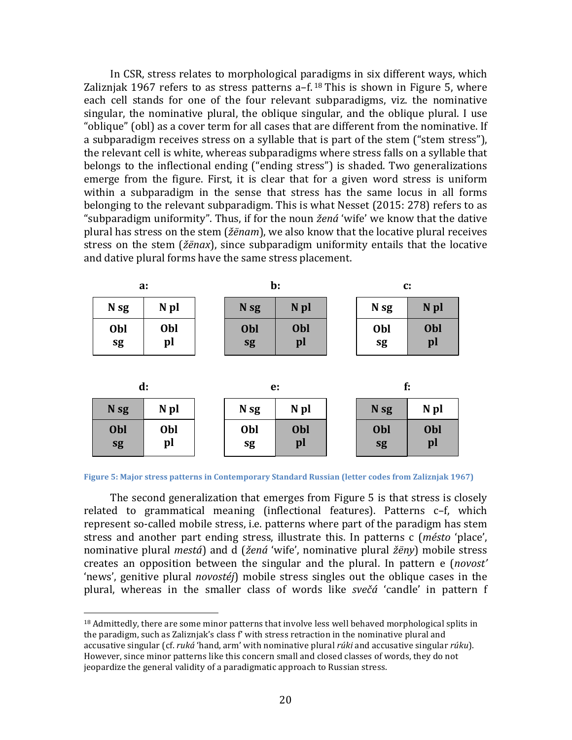In CSR, stress relates to morphological paradigms in six different ways, which Zaliznjak 1967 refers to as stress patterns  $a-f^{18}$  This is shown in Figure 5, where each cell stands for one of the four relevant subparadigms, viz. the nominative singular, the nominative plural, the oblique singular, and the oblique plural. I use "oblique" (obl) as a cover term for all cases that are different from the nominative. If a subparadigm receives stress on a syllable that is part of the stem ("stem stress"), the relevant cell is white, whereas subparadigms where stress falls on a syllable that belongs to the inflectional ending ("ending stress") is shaded. Two generalizations emerge from the figure. First, it is clear that for a given word stress is uniform within a subparadigm in the sense that stress has the same locus in all forms belonging to the relevant subparadigm. This is what Nesset (2015: 278) refers to as "subparadigm uniformity". Thus, if for the noun *žená* 'wife' we know that the dative plural has stress on the stem (*žënam*), we also know that the locative plural receives stress on the stem (*žënax*), since subparadigm uniformity entails that the locative and dative plural forms have the same stress placement.

| a:               |           | $\mathbf{b}$ :   |                  | $\mathbf{C}$ : |                  |                  |
|------------------|-----------|------------------|------------------|----------------|------------------|------------------|
| N <sub>sg</sub>  | N pl      | N <sub>sg</sub>  | N <sub>pl</sub>  |                | N <sub>sg</sub>  | N <sub>pl</sub>  |
| Obl<br>sg        | Obl<br>pl | Obl<br>sg        | <b>Obl</b><br>pl |                | Obl<br>sg        | <b>Obl</b><br>pl |
| d:               |           | e:               |                  |                | f:               |                  |
| N <sub>sg</sub>  | N pl      | N <sub>sg</sub>  | N pl             |                | N <sub>sg</sub>  | N pl             |
| <b>Obl</b><br>sg | Obl<br>pl | <b>Obl</b><br>sg | Obl<br>pl        |                | <b>Obl</b><br>sg | <b>Obl</b><br>pl |

**Figure 5: Major stress patterns in Contemporary Standard Russian (letter codes from Zaliznjak 1967)** 

The second generalization that emerges from Figure  $5$  is that stress is closely related to grammatical meaning (inflectional features). Patterns c-f, which represent so-called mobile stress, i.e. patterns where part of the paradigm has stem stress and another part ending stress, illustrate this. In patterns c (*mésto* 'place', nominative plural *mestá*) and d (*žená* 'wife', nominative plural *žëny*) mobile stress creates an opposition between the singular and the plural. In pattern e (*novost'* 'news', genitive plural *novostéj*) mobile stress singles out the oblique cases in the plural, whereas in the smaller class of words like *svečá* 'candle' in pattern f

 

 $18$  Admittedly, there are some minor patterns that involve less well behaved morphological splits in the paradigm, such as Zalizniak's class  $f'$  with stress retraction in the nominative plural and accusative singular (cf. *ruká* 'hand, arm' with nominative plural *rúki* and accusative singular *rúku*). However, since minor patterns like this concern small and closed classes of words, they do not jeopardize the general validity of a paradigmatic approach to Russian stress.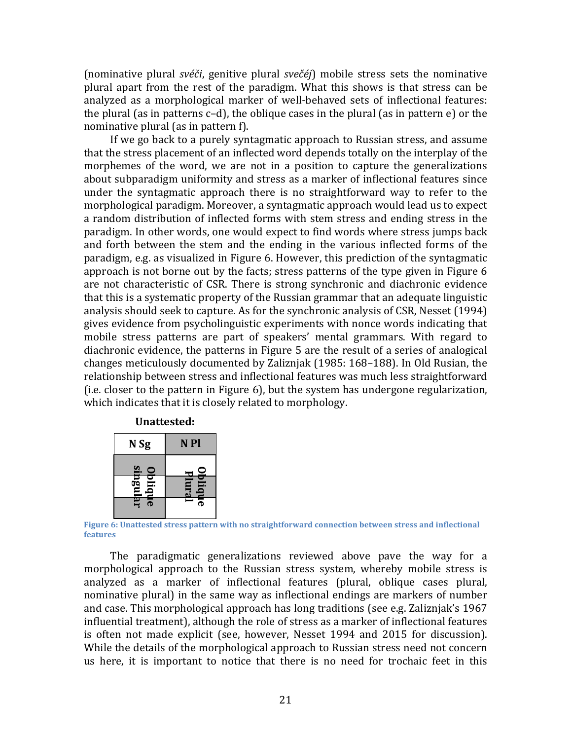(nominative plural *svéči*, genitive plural *svečéj*) mobile stress sets the nominative plural apart from the rest of the paradigm. What this shows is that stress can be analyzed as a morphological marker of well-behaved sets of inflectional features: the plural (as in patterns  $c-d$ ), the oblique cases in the plural (as in pattern  $e$ ) or the nominative plural (as in pattern  $f$ ).

If we go back to a purely syntagmatic approach to Russian stress, and assume that the stress placement of an inflected word depends totally on the interplay of the morphemes of the word, we are not in a position to capture the generalizations about subparadigm uniformity and stress as a marker of inflectional features since under the syntagmatic approach there is no straightforward way to refer to the morphological paradigm. Moreover, a syntagmatic approach would lead us to expect a random distribution of inflected forms with stem stress and ending stress in the paradigm. In other words, one would expect to find words where stress jumps back and forth between the stem and the ending in the various inflected forms of the paradigm, e.g. as visualized in Figure 6. However, this prediction of the syntagmatic approach is not borne out by the facts; stress patterns of the type given in Figure 6 are not characteristic of CSR. There is strong synchronic and diachronic evidence that this is a systematic property of the Russian grammar that an adequate linguistic analysis should seek to capture. As for the synchronic analysis of CSR, Nesset (1994) gives evidence from psycholinguistic experiments with nonce words indicating that mobile stress patterns are part of speakers' mental grammars. With regard to diachronic evidence, the patterns in Figure 5 are the result of a series of analogical changes meticulously documented by Zaliznjak (1985: 168–188). In Old Rusian, the relationship between stress and inflectional features was much less straightforward  $(i.e.$  closer to the pattern in Figure  $6$ ), but the system has undergone regularization, which indicates that it is closely related to morphology.

#### **Unattested:**

| N <sub>Sg</sub>                               | N <sub>Pl</sub> |  |  |
|-----------------------------------------------|-----------------|--|--|
| ≌<br>$\bullet$                                |                 |  |  |
| $\overline{\mathbf{B}}$<br>$\overline{\bf s}$ | lura<br>Ξ       |  |  |
| ౚ                                             | Е<br>గా         |  |  |

**Figure 6: Unattested stress pattern with no straightforward connection between stress and inflectional features**

The paradigmatic generalizations reviewed above pave the way for a morphological approach to the Russian stress system, whereby mobile stress is analyzed as a marker of inflectional features (plural, oblique cases plural, nominative plural) in the same way as inflectional endings are markers of number and case. This morphological approach has long traditions (see e.g. Zaliznjak's 1967 influential treatment), although the role of stress as a marker of inflectional features is often not made explicit (see, however, Nesset 1994 and 2015 for discussion). While the details of the morphological approach to Russian stress need not concern us here, it is important to notice that there is no need for trochaic feet in this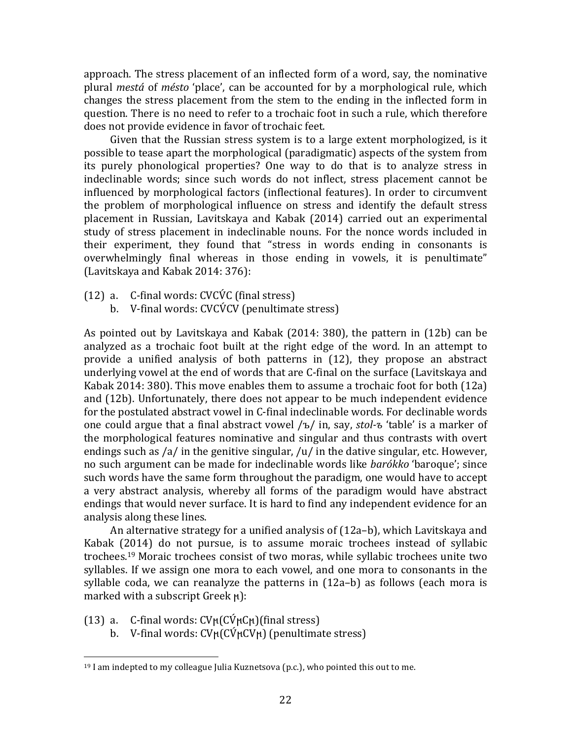approach. The stress placement of an inflected form of a word, say, the nominative plural *mestá* of *mésto* 'place', can be accounted for by a morphological rule, which changes the stress placement from the stem to the ending in the inflected form in question. There is no need to refer to a trochaic foot in such a rule, which therefore does not provide evidence in favor of trochaic feet.

Given that the Russian stress system is to a large extent morphologized, is it possible to tease apart the morphological (paradigmatic) aspects of the system from its purely phonological properties? One way to do that is to analyze stress in indeclinable words; since such words do not inflect, stress placement cannot be influenced by morphological factors (inflectional features). In order to circumvent the problem of morphological influence on stress and identify the default stress placement in Russian, Lavitskaya and Kabak (2014) carried out an experimental study of stress placement in indeclinable nouns. For the nonce words included in their experiment, they found that "stress in words ending in consonants is overwhelmingly final whereas in those ending in vowels, it is penultimate" (Lavitskaya and Kabak 2014: 376):

- $(12)$  a. C-final words: CVCVC (final stress)
	- b. V-final words:  $CVCVCV$  (penultimate stress)

As pointed out by Lavitskaya and Kabak  $(2014: 380)$ , the pattern in  $(12b)$  can be analyzed as a trochaic foot built at the right edge of the word. In an attempt to provide a unified analysis of both patterns in (12), they propose an abstract underlying vowel at the end of words that are C-final on the surface (Lavitskaya and Kabak 2014: 380). This move enables them to assume a trochaic foot for both  $(12a)$ and  $(12b)$ . Unfortunately, there does not appear to be much independent evidence for the postulated abstract vowel in C-final indeclinable words. For declinable words one could argue that a final abstract vowel /ъ/ in, say, *stol-ъ* 'table' is a marker of the morphological features nominative and singular and thus contrasts with overt endings such as  $/a/$  in the genitive singular,  $/u/$  in the dative singular, etc. However, no such argument can be made for indeclinable words like *barókko* 'baroque'; since such words have the same form throughout the paradigm, one would have to accept a very abstract analysis, whereby all forms of the paradigm would have abstract endings that would never surface. It is hard to find any independent evidence for an analysis along these lines.

An alternative strategy for a unified analysis of  $(12a-b)$ , which Lavitskaya and Kabak  $(2014)$  do not pursue, is to assume moraic trochees instead of syllabic trochees.<sup>19</sup> Moraic trochees consist of two moras, while syllabic trochees unite two syllables. If we assign one mora to each vowel, and one mora to consonants in the syllable coda, we can reanalyze the patterns in (12a-b) as follows (each mora is marked with a subscript Greek ϻ):

(13) a. C-final words:  $CV<sub>H</sub>(C<sup>v</sup><sub>H</sub>(C<sup>v</sup>)$ (final stress)

 

b. V-final words:  $CV<sub>H</sub>(C<sub>V<sub>H</sub></sub>(CV<sub>H</sub>)$  (penultimate stress)

 $19$  I am indepted to my colleague Julia Kuznetsova (p.c.), who pointed this out to me.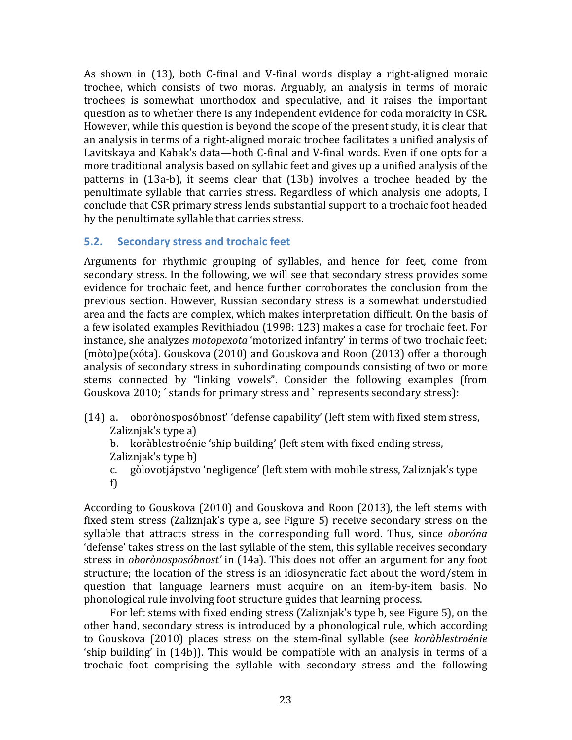As shown in  $(13)$ , both C-final and V-final words display a right-aligned moraic trochee, which consists of two moras. Arguably, an analysis in terms of moraic trochees is somewhat unorthodox and speculative, and it raises the important question as to whether there is any independent evidence for coda moraicity in CSR. However, while this question is beyond the scope of the present study, it is clear that an analysis in terms of a right-aligned moraic trochee facilitates a unified analysis of Lavitskaya and Kabak's data—both C-final and V-final words. Even if one opts for a more traditional analysis based on syllabic feet and gives up a unified analysis of the patterns in  $(13a-b)$ , it seems clear that  $(13b)$  involves a trochee headed by the penultimate syllable that carries stress. Regardless of which analysis one adopts. I conclude that CSR primary stress lends substantial support to a trochaic foot headed by the penultimate syllable that carries stress.

## **5.2. Secondary stress and trochaic feet**

Arguments for rhythmic grouping of syllables, and hence for feet, come from secondary stress. In the following, we will see that secondary stress provides some evidence for trochaic feet, and hence further corroborates the conclusion from the previous section. However, Russian secondary stress is a somewhat understudied area and the facts are complex, which makes interpretation difficult. On the basis of a few isolated examples Revithiadou (1998: 123) makes a case for trochaic feet. For instance, she analyzes *motopexota* 'motorized infantry' in terms of two trochaic feet:  $(moto)pe(xóta)$ . Gouskova  $(2010)$  and Gouskova and Roon  $(2013)$  offer a thorough analysis of secondary stress in subordinating compounds consisting of two or more stems connected by "linking vowels". Consider the following examples (from Gouskova 2010; ' stands for primary stress and ` represents secondary stress):

(14) a. oborònosposóbnost' 'defense capability' (left stem with fixed stem stress, Zaliznjak's type a)

b. koràblestroénie 'ship building' (left stem with fixed ending stress, Zaliznjak's type  $b$ )

c. gòlovotjápstvo 'negligence' (left stem with mobile stress, Zaliznjak's type f)

According to Gouskova (2010) and Gouskova and Roon (2013), the left stems with fixed stem stress (Zaliznjak's type a, see Figure 5) receive secondary stress on the syllable that attracts stress in the corresponding full word. Thus, since *oboróna* 'defense' takes stress on the last syllable of the stem, this syllable receives secondary stress in *oborònosposóbnost'* in (14a). This does not offer an argument for any foot structure; the location of the stress is an idiosyncratic fact about the word/stem in question that language learners must acquire on an item-by-item basis. No phonological rule involving foot structure guides that learning process.

For left stems with fixed ending stress (Zaliznjak's type b, see Figure 5), on the other hand, secondary stress is introduced by a phonological rule, which according to Gouskova (2010) places stress on the stem-final syllable (see *koràblestroénie* 'ship building' in  $(14b)$ ). This would be compatible with an analysis in terms of a trochaic foot comprising the syllable with secondary stress and the following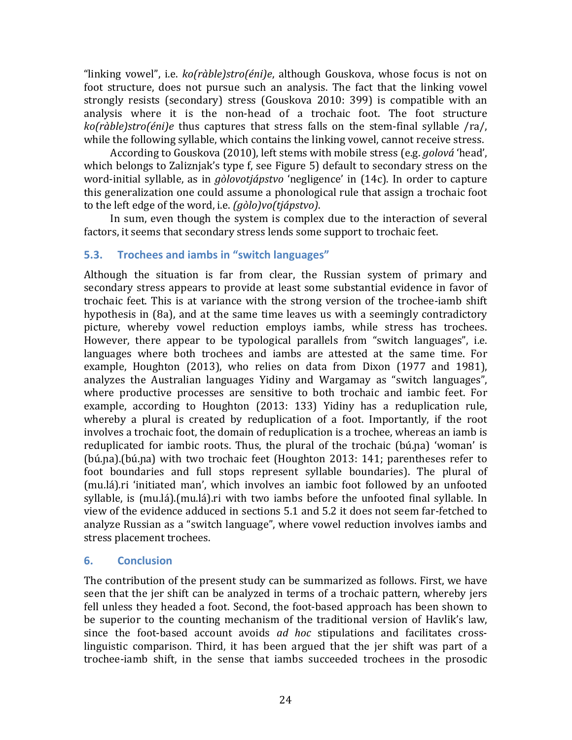"linking vowel", i.e. *ko(ràble)stro(éni)e*, although Gouskova, whose focus is not on foot structure, does not pursue such an analysis. The fact that the linking vowel strongly resists (secondary) stress (Gouskova 2010: 399) is compatible with an analysis where it is the non-head of a trochaic foot. The foot structure *ko(ràble)stro(éni)e* thus captures that stress falls on the stem-final syllable /ra/, while the following syllable, which contains the linking vowel, cannot receive stress.

According to Gouskova (2010), left stems with mobile stress (e.g. *golová* 'head', which belongs to Zaliznjak's type f, see Figure 5) default to secondary stress on the word-initial syllable, as in *gòlovotjápstvo* 'negligence' in (14c). In order to capture this generalization one could assume a phonological rule that assign a trochaic foot to the left edge of the word, i.e. *(gòlo)vo(tjápstvo)*.

In sum, even though the system is complex due to the interaction of several factors, it seems that secondary stress lends some support to trochaic feet.

# **5.3. Trochees and iambs in "switch languages"**

Although the situation is far from clear, the Russian system of primary and secondary stress appears to provide at least some substantial evidence in favor of trochaic feet. This is at variance with the strong version of the trochee-iamb shift hypothesis in  $(8a)$ , and at the same time leaves us with a seemingly contradictory picture, whereby vowel reduction employs iambs, while stress has trochees. However, there appear to be typological parallels from "switch languages", i.e. languages where both trochees and iambs are attested at the same time. For example, Houghton (2013), who relies on data from Dixon (1977 and 1981), analyzes the Australian languages Yidiny and Wargamay as "switch languages", where productive processes are sensitive to both trochaic and iambic feet. For example, according to Houghton (2013: 133) Yidiny has a reduplication rule, whereby a plural is created by reduplication of a foot. Importantly, if the root involves a trochaic foot, the domain of reduplication is a trochee, whereas an iamb is reduplicated for iambic roots. Thus, the plural of the trochaic (bú.na) 'woman' is (bú.na).(bú.na) with two trochaic feet (Houghton 2013: 141; parentheses refer to foot boundaries and full stops represent syllable boundaries). The plural of (mu.lá).ri 'initiated man', which involves an iambic foot followed by an unfooted syllable, is (mu.lá).(mu.lá).ri with two iambs before the unfooted final syllable. In view of the evidence adduced in sections 5.1 and 5.2 it does not seem far-fetched to analyze Russian as a "switch language", where vowel reduction involves iambs and stress placement trochees.

## **6. Conclusion**

The contribution of the present study can be summarized as follows. First, we have seen that the jer shift can be analyzed in terms of a trochaic pattern, whereby jers fell unless they headed a foot. Second, the foot-based approach has been shown to be superior to the counting mechanism of the traditional version of Havlik's law, since the foot-based account avoids *ad hoc* stipulations and facilitates crosslinguistic comparison. Third, it has been argued that the  $ier$  shift was part of a trochee-iamb shift, in the sense that iambs succeeded trochees in the prosodic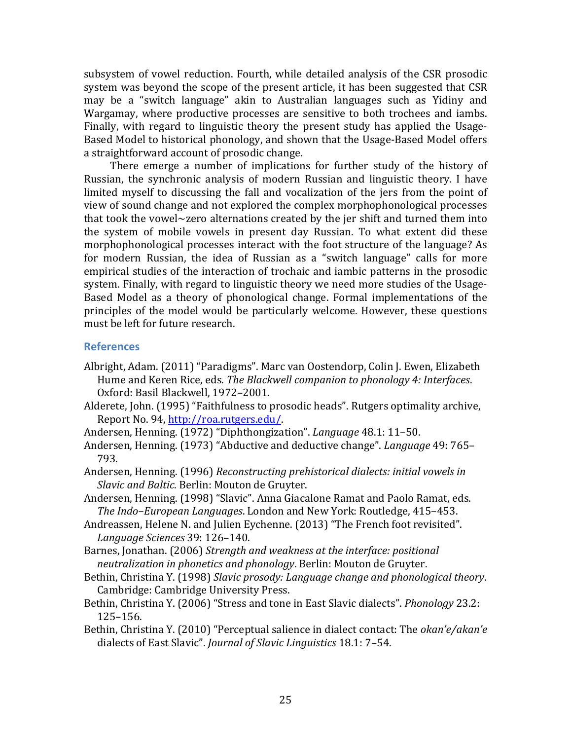subsystem of vowel reduction. Fourth, while detailed analysis of the CSR prosodic system was beyond the scope of the present article, it has been suggested that CSR may be a "switch language" akin to Australian languages such as Yidiny and Wargamay, where productive processes are sensitive to both trochees and iambs. Finally, with regard to linguistic theory the present study has applied the Usage-Based Model to historical phonology, and shown that the Usage-Based Model offers a straightforward account of prosodic change.

There emerge a number of implications for further study of the history of Russian, the synchronic analysis of modern Russian and linguistic theory. I have limited myself to discussing the fall and vocalization of the jers from the point of view of sound change and not explored the complex morphophonological processes that took the vowel~zero alternations created by the jer shift and turned them into the system of mobile vowels in present day Russian. To what extent did these morphophonological processes interact with the foot structure of the language? As for modern Russian, the idea of Russian as a "switch language" calls for more empirical studies of the interaction of trochaic and iambic patterns in the prosodic system. Finally, with regard to linguistic theory we need more studies of the Usage-Based Model as a theory of phonological change. Formal implementations of the principles of the model would be particularly welcome. However, these questions must be left for future research.

#### **References**

- Albright, Adam. (2011) "Paradigms". Marc van Oostendorp, Colin J. Ewen, Elizabeth Hume and Keren Rice, eds. *The Blackwell companion to phonology 4: Interfaces.* Oxford: Basil Blackwell, 1972-2001.
- Alderete, John. (1995) "Faithfulness to prosodic heads". Rutgers optimality archive, Report No. 94, http://roa.rutgers.edu/.
- Andersen, Henning. (1972) "Diphthongization". *Language* 48.1: 11–50.
- Andersen, Henning. (1973) "Abductive and deductive change". *Language* 49: 765– 793.
- Andersen, Henning. (1996) *Reconstructing prehistorical dialects: initial vowels in Slavic and Baltic.* Berlin: Mouton de Gruyter.
- Andersen, Henning. (1998) "Slavic". Anna Giacalone Ramat and Paolo Ramat, eds. *The Indo–European Languages*. London and New York: Routledge, 415–453.
- Andreassen, Helene N. and Julien Eychenne. (2013) "The French foot revisited". *Language Sciences* 39: 126–140.
- Barnes, Jonathan. (2006) *Strength and weakness at the interface: positional neutralization in phonetics and phonology*. Berlin: Mouton de Gruyter.
- Bethin, Christina Y. (1998) *Slavic prosody: Language change and phonological theory.* Cambridge: Cambridge University Press.
- Bethin, Christina Y. (2006) "Stress and tone in East Slavic dialects". *Phonology* 23.2: 125–156.
- Bethin, Christina Y. (2010) "Perceptual salience in dialect contact: The *okan'e/akan'e* dialects of East Slavic". *Journal of Slavic Linguistics* 18.1: 7-54.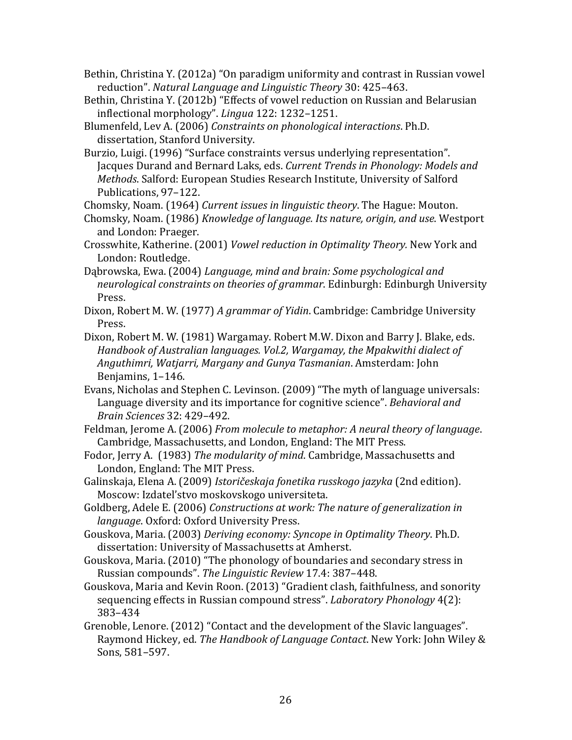Bethin, Christina Y. (2012a) "On paradigm uniformity and contrast in Russian vowel reduction". *Natural Language and Linguistic Theory* 30: 425-463.

- Bethin, Christina Y. (2012b) "Effects of vowel reduction on Russian and Belarusian inflectional morphology". *Lingua* 122: 1232-1251.
- Blumenfeld, Lev A. (2006) *Constraints on phonological interactions*. Ph.D. dissertation, Stanford University.
- Burzio, Luigi. (1996) "Surface constraints versus underlying representation". Jacques Durand and Bernard Laks, eds. *Current Trends in Phonology: Models and Methods*. Salford: European Studies Research Institute, University of Salford Publications, 97-122.

Chomsky, Noam. (1964) *Current issues in linguistic theory*. The Hague: Mouton.

- Chomsky, Noam. (1986) *Knowledge of language. Its nature, origin, and use*. Westport and London: Praeger.
- Crosswhite, Katherine. (2001) *Vowel reduction in Optimality Theory.* New York and London: Routledge.

Dabrowska, Ewa. (2004) *Language, mind and brain: Some psychological and* neurological constraints on theories of grammar. Edinburgh: Edinburgh University Press.

- Dixon, Robert M. W. (1977) *A grammar of Yidin*. Cambridge: Cambridge University Press.
- Dixon, Robert M. W. (1981) Wargamay. Robert M.W. Dixon and Barry J. Blake, eds. *Handbook of Australian languages. Vol.2, Wargamay, the Mpakwithi dialect of Anguthimri, Watjarri, Margany and Gunya Tasmanian*. Amsterdam: John Benjamins, 1-146.
- Evans, Nicholas and Stephen C. Levinson. (2009) "The myth of language universals: Language diversity and its importance for cognitive science". *Behavioral and Brain Sciences* 32: 429–492.
- Feldman, Jerome A. (2006) *From molecule to metaphor: A neural theory of language.* Cambridge, Massachusetts, and London, England: The MIT Press.
- Fodor, Jerry A. (1983) *The modularity of mind*. Cambridge, Massachusetts and London, England: The MIT Press.
- Galinskaja, Elena A. (2009) *Istoričeskaja fonetika russkogo jazyka* (2nd edition). Moscow: Izdatel'stvo moskovskogo universiteta.
- Goldberg, Adele E. (2006) *Constructions at work: The nature of generalization in language*. Oxford: Oxford University Press.
- Gouskova, Maria. (2003) *Deriving economy: Syncope in Optimality Theory*. Ph.D. dissertation: University of Massachusetts at Amherst.
- Gouskova, Maria. (2010) "The phonology of boundaries and secondary stress in Russian compounds". *The Linguistic Review* 17.4: 387-448.
- Gouskova, Maria and Kevin Roon. (2013) "Gradient clash, faithfulness, and sonority sequencing effects in Russian compound stress". *Laboratory Phonology* 4(2): 383–434
- Grenoble, Lenore. (2012) "Contact and the development of the Slavic languages". Raymond Hickey, ed. *The Handbook of Language Contact*. New York: John Wiley & Sons, 581-597.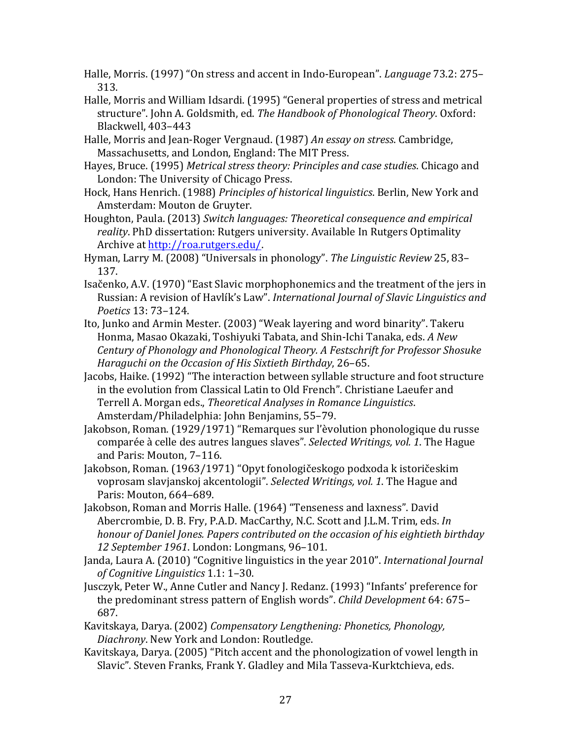- Halle, Morris. (1997) "On stress and accent in Indo-European". *Language* 73.2: 275– 313.
- Halle, Morris and William Idsardi. (1995) "General properties of stress and metrical structure". John A. Goldsmith, ed. The Handbook of Phonological Theory. Oxford: Blackwell, 403-443
- Halle, Morris and Jean-Roger Vergnaud. (1987) An essay on stress. Cambridge, Massachusetts, and London, England: The MIT Press.
- Hayes, Bruce. (1995) *Metrical stress theory: Principles and case studies*. Chicago and London: The University of Chicago Press.
- Hock, Hans Henrich. (1988) *Principles of historical linguistics*. Berlin, New York and Amsterdam: Mouton de Gruyter.
- Houghton, Paula. (2013) *Switch languages: Theoretical consequence and empirical* reality. PhD dissertation: Rutgers university. Available In Rutgers Optimality Archive at http://roa.rutgers.edu/.
- Hyman, Larry M. (2008) "Universals in phonology". *The Linguistic Review* 25, 83– 137.
- Isačenko, A.V. (1970) "East Slavic morphophonemics and the treatment of the jers in Russian: A revision of Havlík's Law". *International Journal of Slavic Linguistics and Poetics* 13: 73–124.
- Ito, Junko and Armin Mester. (2003) "Weak layering and word binarity". Takeru Honma, Masao Okazaki, Toshiyuki Tabata, and Shin-Ichi Tanaka, eds. *A New Century of Phonology and Phonological Theory. A Festschrift for Professor Shosuke Haraguchi* on the Occasion of His Sixtieth Birthday, 26-65.
- Jacobs, Haike. (1992) "The interaction between syllable structure and foot structure in the evolution from Classical Latin to Old French". Christiane Laeufer and Terrell A. Morgan eds., *Theoretical Analyses in Romance Linguistics*. Amsterdam/Philadelphia: John Benjamins, 55-79.
- Jakobson, Roman. (1929/1971) "Remarques sur l'èvolution phonologique du russe comparée à celle des autres langues slaves". Selected Writings, vol. 1. The Hague and Paris: Mouton, 7-116.
- Jakobson, Roman. (1963/1971) "Opyt fonologičeskogo podxoda k istoričeskim voprosam slavjanskoj akcentologii". *Selected Writings, vol.* 1. The Hague and Paris: Mouton, 664-689.
- Jakobson, Roman and Morris Halle. (1964) "Tenseness and laxness". David Abercrombie, D. B. Fry, P.A.D. MacCarthy, N.C. Scott and J.L.M. Trim, eds. *In* honour of Daniel Jones. Papers contributed on the occasion of his eightieth birthday *12 September 1961*. London: Longmans, 96–101.
- Janda, Laura A. (2010) "Cognitive linguistics in the year 2010". *International Journal of Cognitive Linguistics* 1.1: 1–30.
- Jusczyk, Peter W., Anne Cutler and Nancy J. Redanz. (1993) "Infants' preference for the predominant stress pattern of English words". *Child Development* 64: 675– 687.
- Kavitskaya, Darya. (2002) *Compensatory Lengthening: Phonetics, Phonology, Diachrony*. New York and London: Routledge.
- Kavitskaya, Darya. (2005) "Pitch accent and the phonologization of vowel length in Slavic". Steven Franks, Frank Y. Gladley and Mila Tasseva-Kurktchieva, eds.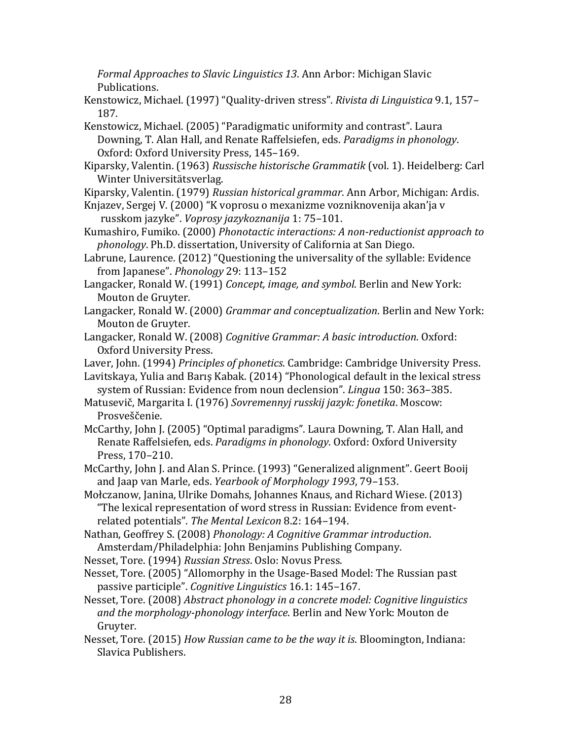*Formal Approaches to Slavic Linguistics 13.* Ann Arbor: Michigan Slavic Publications.

Kenstowicz, Michael. (1997) "Quality-driven stress". *Rivista di Linguistica* 9.1, 157– 187.

Kenstowicz, Michael. (2005) "Paradigmatic uniformity and contrast". Laura Downing, T. Alan Hall, and Renate Raffelsiefen, eds. *Paradigms in phonology*. Oxford: Oxford University Press, 145-169.

Kiparsky, Valentin. (1963) *Russische historische Grammatik* (vol. 1). Heidelberg: Carl Winter Universitätsverlag.

Kiparsky, Valentin. (1979) *Russian historical grammar*. Ann Arbor, Michigan: Ardis.

- Knjazev, Sergej V. (2000) "K voprosu o mexanizme vozniknovenija akan'ja v russkom jazyke". *Voprosy jazykoznanija* 1: 75–101.
- Kumashiro, Fumiko. (2000) *Phonotactic interactions: A non-reductionist approach to phonology*. Ph.D. dissertation, University of California at San Diego.

Labrune, Laurence. (2012) "Questioning the universality of the syllable: Evidence from Japanese". *Phonology* 29: 113–152 

Langacker, Ronald W. (1991) *Concept, image, and symbol*. Berlin and New York: Mouton de Gruyter.

- Langacker, Ronald W. (2000) *Grammar and conceptualization*. Berlin and New York: Mouton de Gruyter.
- Langacker, Ronald W. (2008) *Cognitive Grammar: A basic introduction*. Oxford: Oxford University Press.
- Laver, John. (1994) *Principles of phonetics*. Cambridge: Cambridge University Press.
- Lavitskaya, Yulia and Barış Kabak. (2014) "Phonological default in the lexical stress system of Russian: Evidence from noun declension". *Lingua* 150: 363–385.

Matusevič, Margarita I. (1976) Sovremennyj russkij jazyk: fonetika. Moscow: Prosveščenie.

McCarthy, John J. (2005) "Optimal paradigms". Laura Downing, T. Alan Hall, and Renate Raffelsiefen, eds. *Paradigms in phonology*. Oxford: Oxford University Press, 170–210.

McCarthy, John J. and Alan S. Prince. (1993) "Generalized alignment". Geert Booij and Jaap van Marle, eds. *Yearbook of Morphology* 1993, 79–153.

Mołczanow, Janina, Ulrike Domahs, Johannes Knaus, and Richard Wiese. (2013) "The lexical representation of word stress in Russian: Evidence from eventrelated potentials". The Mental Lexicon 8.2: 164-194.

Nathan, Geoffrey S. (2008) *Phonology: A Cognitive Grammar introduction*. Amsterdam/Philadelphia: John Benjamins Publishing Company.

Nesset, Tore. (1994) *Russian Stress*. Oslo: Novus Press.

Nesset, Tore. (2005) "Allomorphy in the Usage-Based Model: The Russian past passive participle". *Cognitive Linguistics* 16.1: 145–167.

Nesset, Tore. (2008) *Abstract phonology in a concrete model: Cognitive linguistics* and the morphology-phonology interface. Berlin and New York: Mouton de Gruyter.

Nesset, Tore. (2015) *How Russian came to be the way it is*. Bloomington, Indiana: Slavica Publishers.